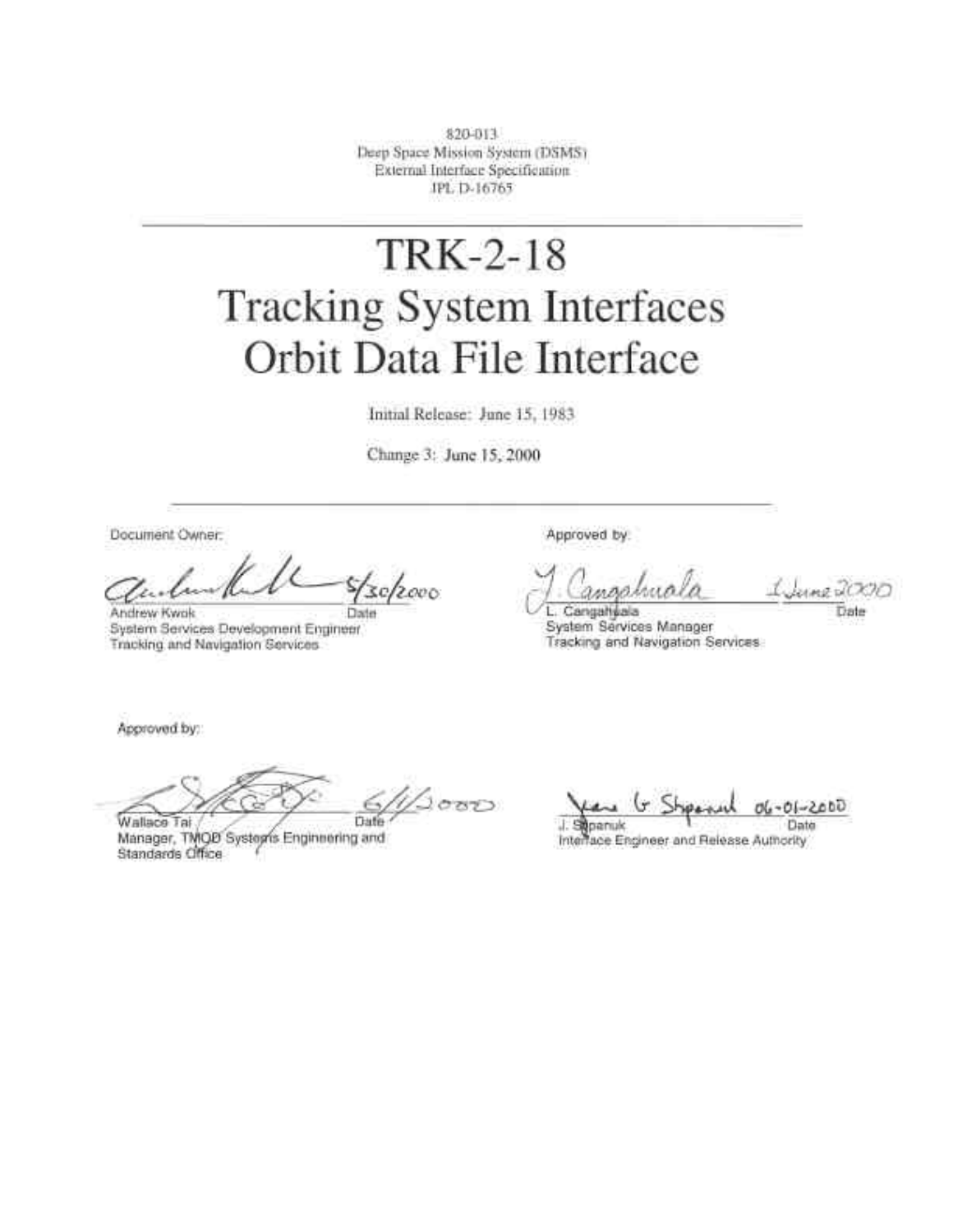820-013 Deep Space Mission System (DSMS) External Interface Specification IPL D-16765

# **TRK-2-18 Tracking System Interfaces** Orbit Data File Interface

Initial Release: June 15, 1983

Change 3: June 15, 2000

Document Owner:

 $\frac{S}{2}$ sc/zovo Date

Andrew Kwak System Services Development Engineer Tracking and Navigation Services

Approved by:

I June 2000 Cangahuala Date

System Services Manager Tracking and Navigation Services

Approved by:

 $6/1/3000$ Wallace Tai Date

Manager, TMOD Systept's Engineering and<br>Standards Office

 $01 - 200$ Date

panuk Interface Engineer and Release Authority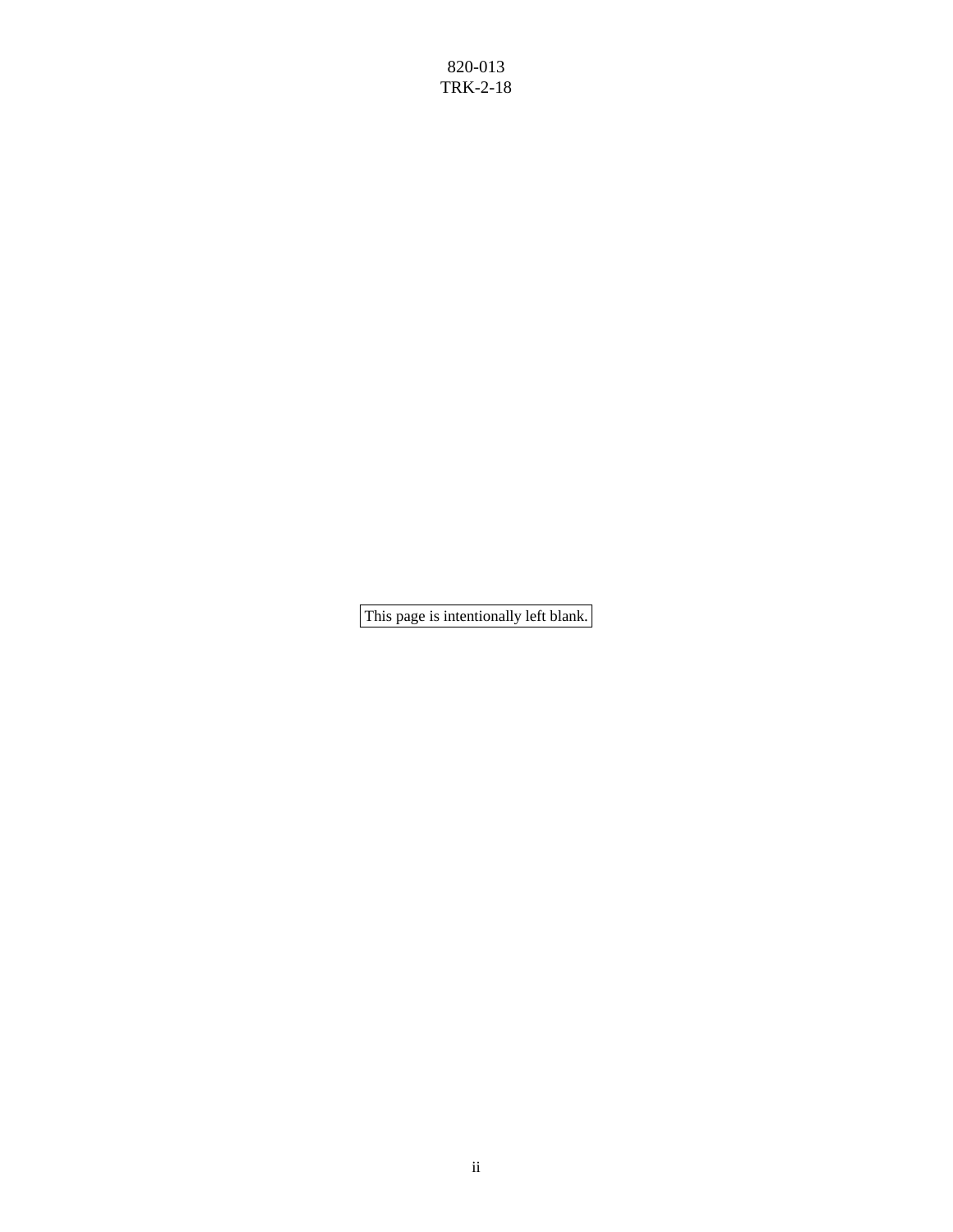This page is intentionally left blank.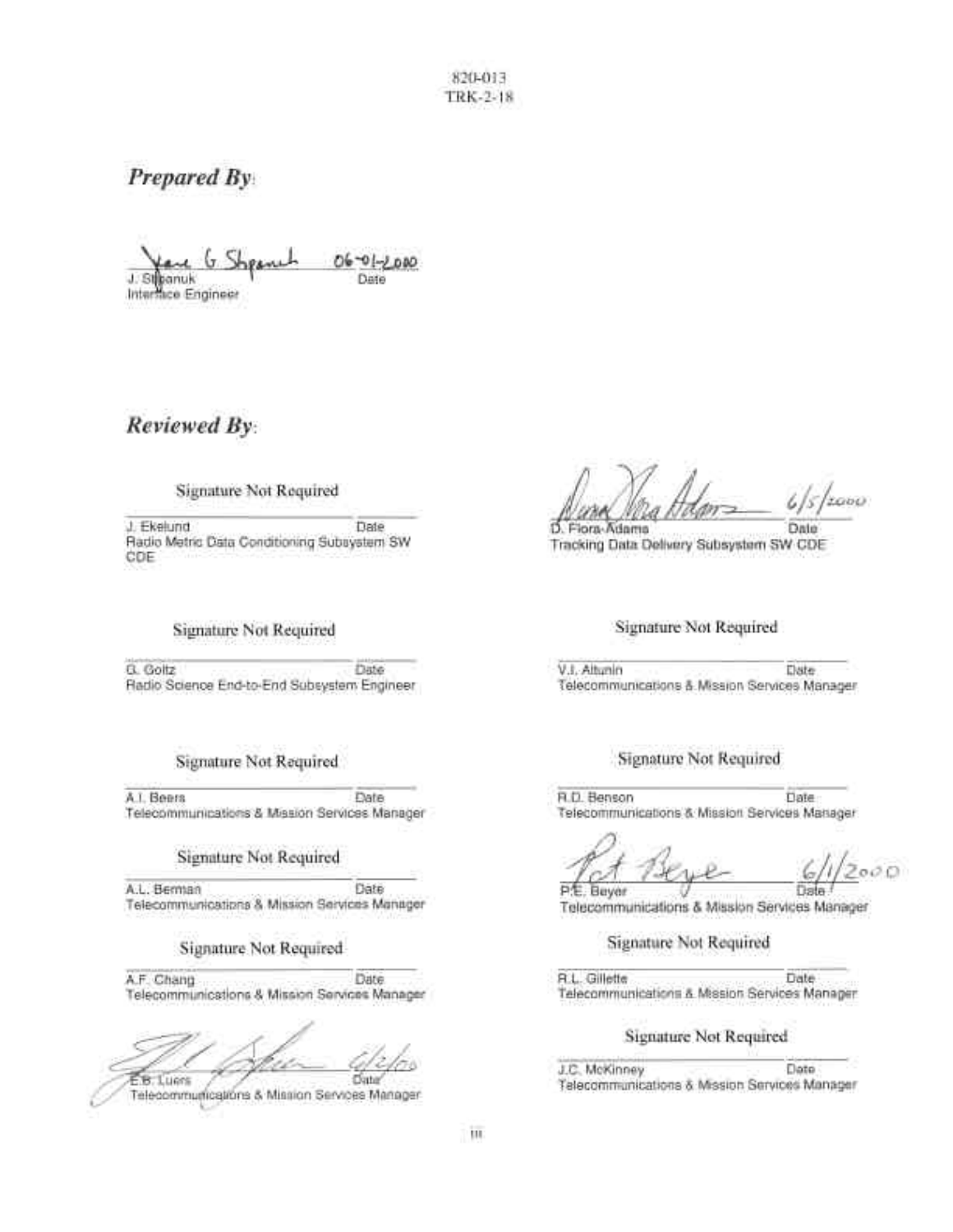# Prepared By

 $06 - 01 - 000$ J. Stibanuk Date Intersace Engineer

Reviewed By:

#### Signature Not Required

J. Ekelund Date Radio Metric Data Conditioning Subsystem SW CDE

### Signature Not Required

G. Goltz Date Radio Science End-to-End Subsystem Engineer

### Signature Not Required

A.I. Beers Date Telecommunications & Mission Services Manager

Signature Not Required

A.L. Berman Date Telecommunications & Mission Services Manager

### Signature Not Required

A.F. Chang Date. Telecommunications & Mission Services Manager

B. Luers Date

Telecommunications & Mission Services Manager

2000

D. Flora-Adama Date Tracking Data Delivery Subsystem SW CDE

### Signature Not Required

V.I. Altunin Elate Telecommunications & Mission Services Manager

### Signature Not Required

R.D. Benson Date Telecommunications & Mission Services Manager

 $\overline{\mathcal{O}}\overline{\mathcal{O}}$ P.E. Beyer Data

Telecommunications & Mission Services Manager

Signature Not Required

R.L. Gillette Date Telecommunications & Mission Services Manager

#### Signature Not Required

J.C. McKinney Date Telecommunications & Mission Services Manager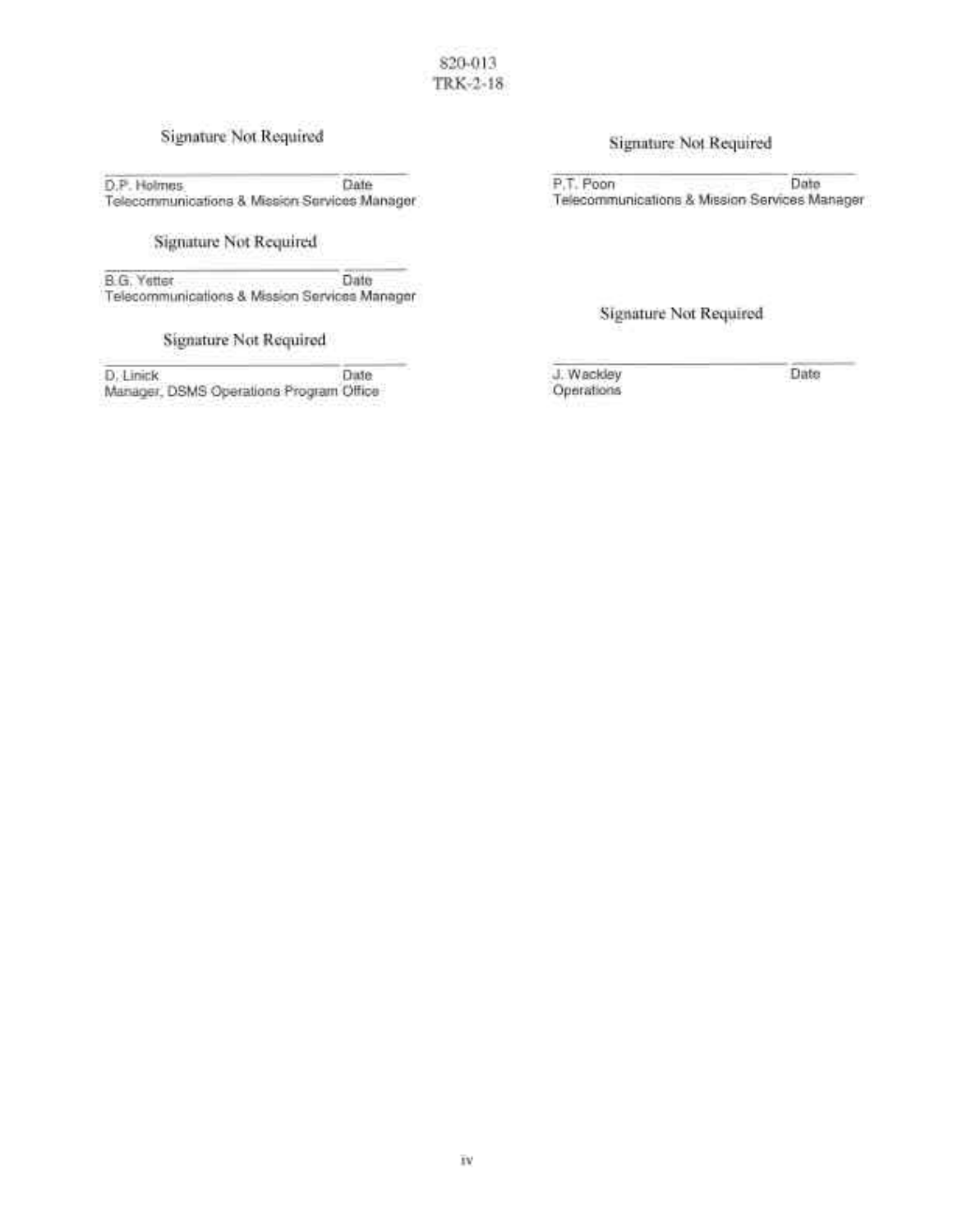### Signature Not Required

D.P. Holmes Date Telecommunications & Mission Services Manager

### Signature Not Required

B.G. Yetter Date Telecommunications & Mission Services Manager

Signature Not Required

D. Linick Date Manager, DSMS Operations Program Office

### **Signature Not Required**

P.T. Poon Date Telecommunications & Mission Services Manager

Signature Not Required

J. Wackley<br>Operations

Date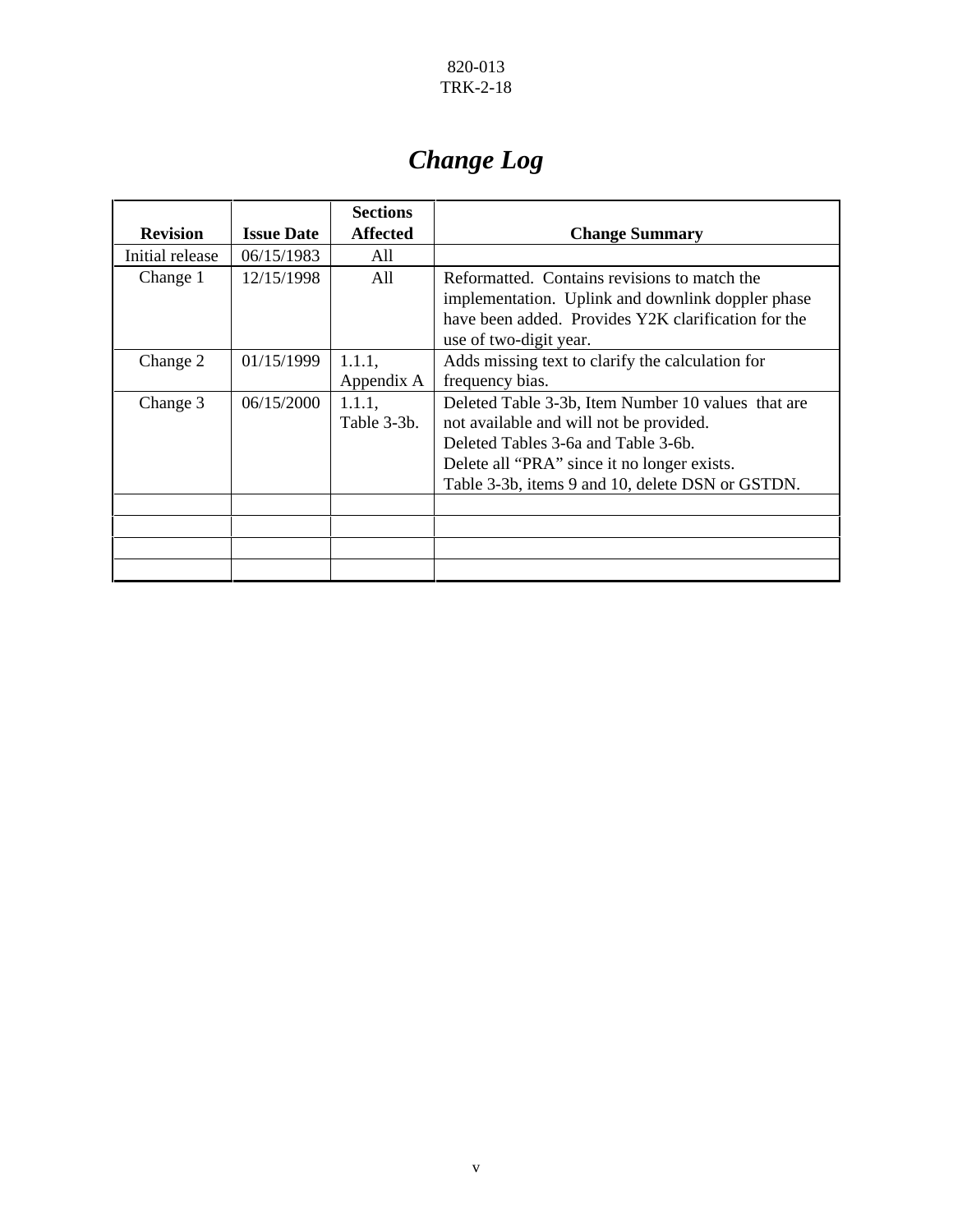# *Change Log*

|                 |                   | <b>Sections</b>       |                                                                                                                                                                                                                                         |
|-----------------|-------------------|-----------------------|-----------------------------------------------------------------------------------------------------------------------------------------------------------------------------------------------------------------------------------------|
| <b>Revision</b> | <b>Issue Date</b> | <b>Affected</b>       | <b>Change Summary</b>                                                                                                                                                                                                                   |
| Initial release | 06/15/1983        | All                   |                                                                                                                                                                                                                                         |
| Change 1        | 12/15/1998        | All                   | Reformatted. Contains revisions to match the<br>implementation. Uplink and downlink doppler phase<br>have been added. Provides Y2K clarification for the<br>use of two-digit year.                                                      |
| Change 2        | 01/15/1999        | 1.1.1,<br>Appendix A  | Adds missing text to clarify the calculation for<br>frequency bias.                                                                                                                                                                     |
| Change 3        | 06/15/2000        | 1.1.1,<br>Table 3-3b. | Deleted Table 3-3b, Item Number 10 values that are<br>not available and will not be provided.<br>Deleted Tables 3-6a and Table 3-6b.<br>Delete all "PRA" since it no longer exists.<br>Table 3-3b, items 9 and 10, delete DSN or GSTDN. |
|                 |                   |                       |                                                                                                                                                                                                                                         |
|                 |                   |                       |                                                                                                                                                                                                                                         |
|                 |                   |                       |                                                                                                                                                                                                                                         |
|                 |                   |                       |                                                                                                                                                                                                                                         |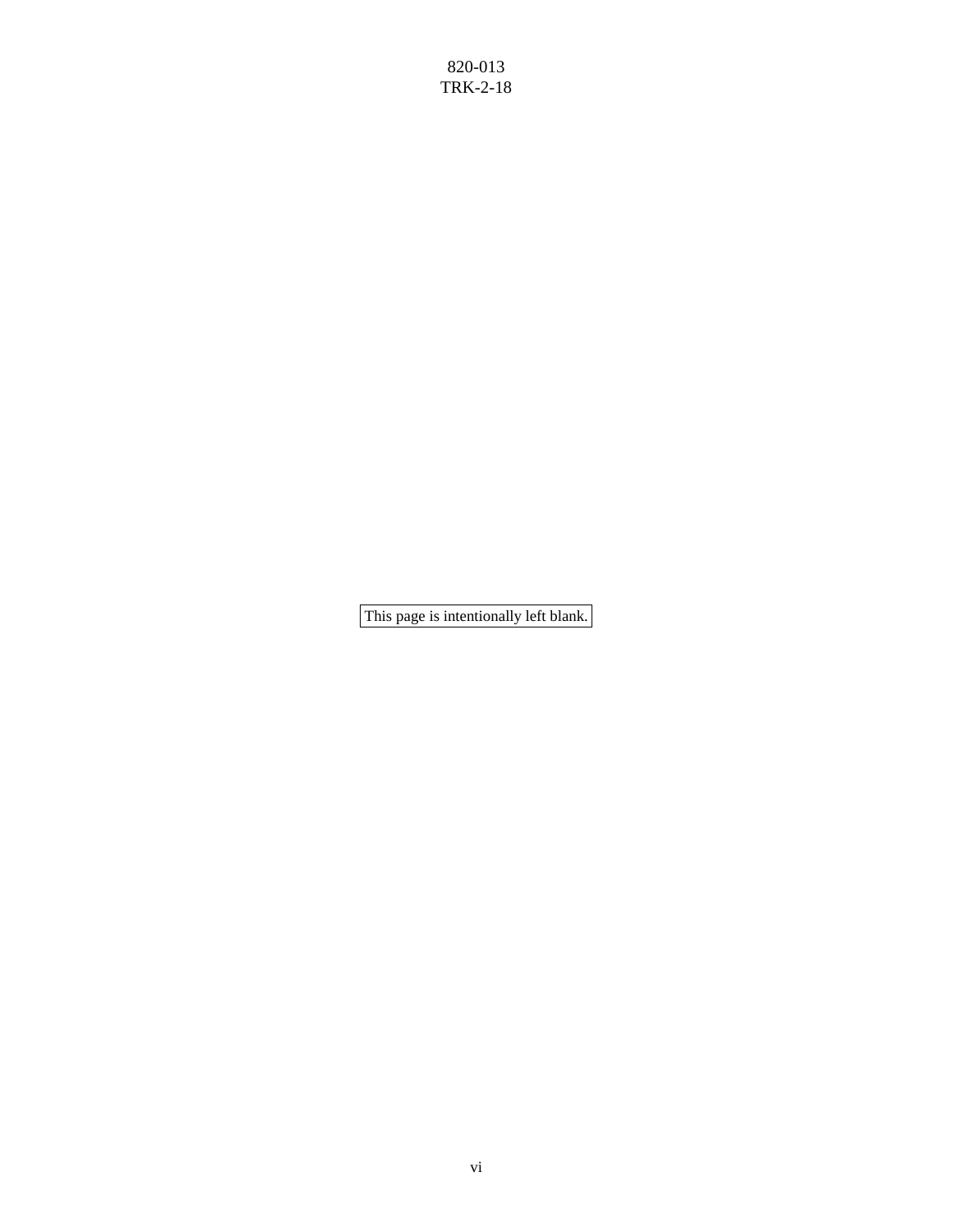This page is intentionally left blank.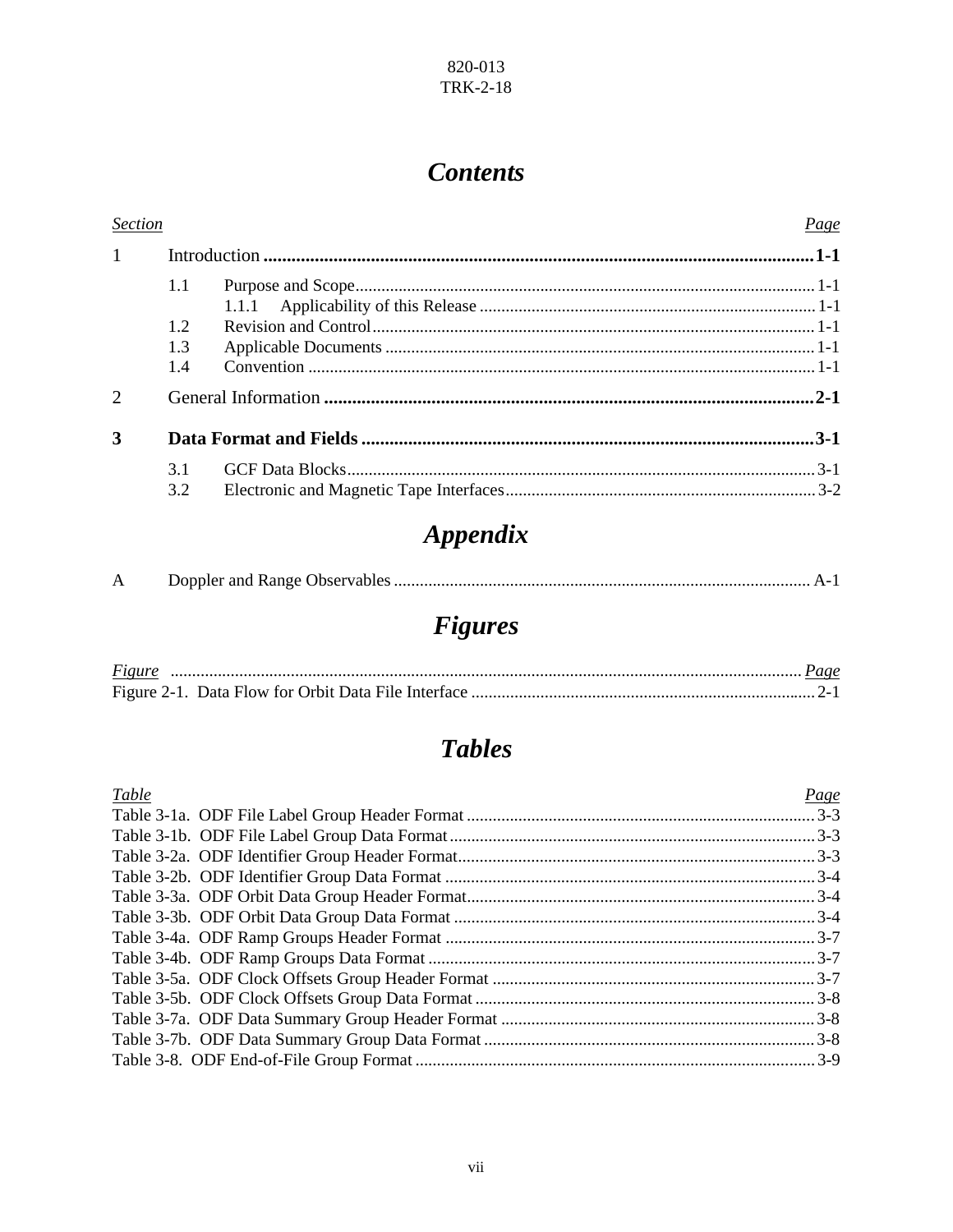# **Contents**

| <b>Section</b> |     | Page    |  |
|----------------|-----|---------|--|
| $\mathbf{1}$   |     |         |  |
|                | 1.1 |         |  |
|                | 1.2 |         |  |
|                | 1.3 |         |  |
|                | 1.4 |         |  |
| $\overline{2}$ |     |         |  |
| 3              |     | $3 - 1$ |  |
|                | 3.1 |         |  |
|                | 3.2 |         |  |
|                |     |         |  |

# Appendix

|--|--|

# Figures

# **Tables**

| Table | Page |
|-------|------|
|       |      |
|       |      |
|       |      |
|       |      |
|       |      |
|       |      |
|       |      |
|       |      |
|       |      |
|       |      |
|       |      |
|       |      |
|       |      |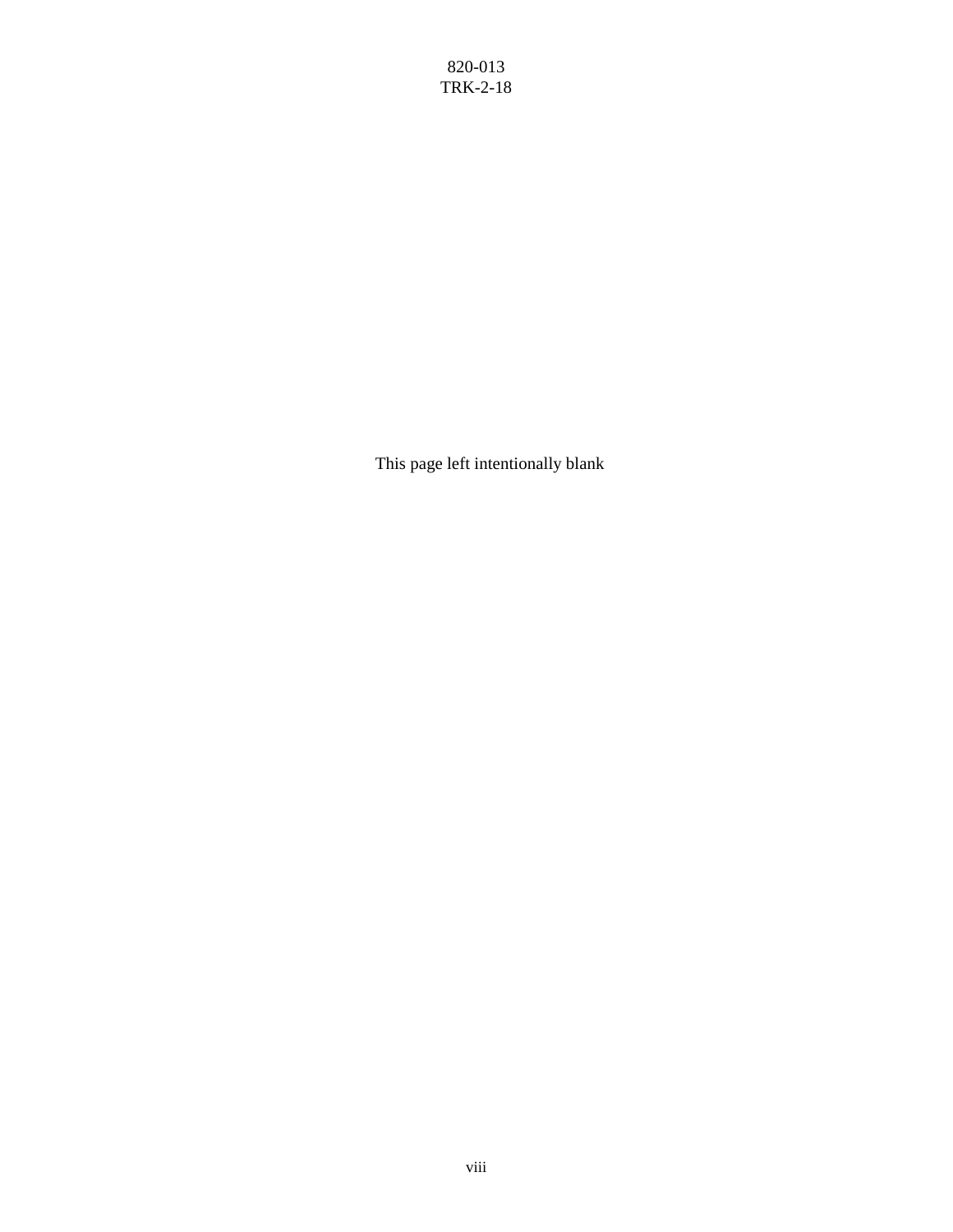This page left intentionally blank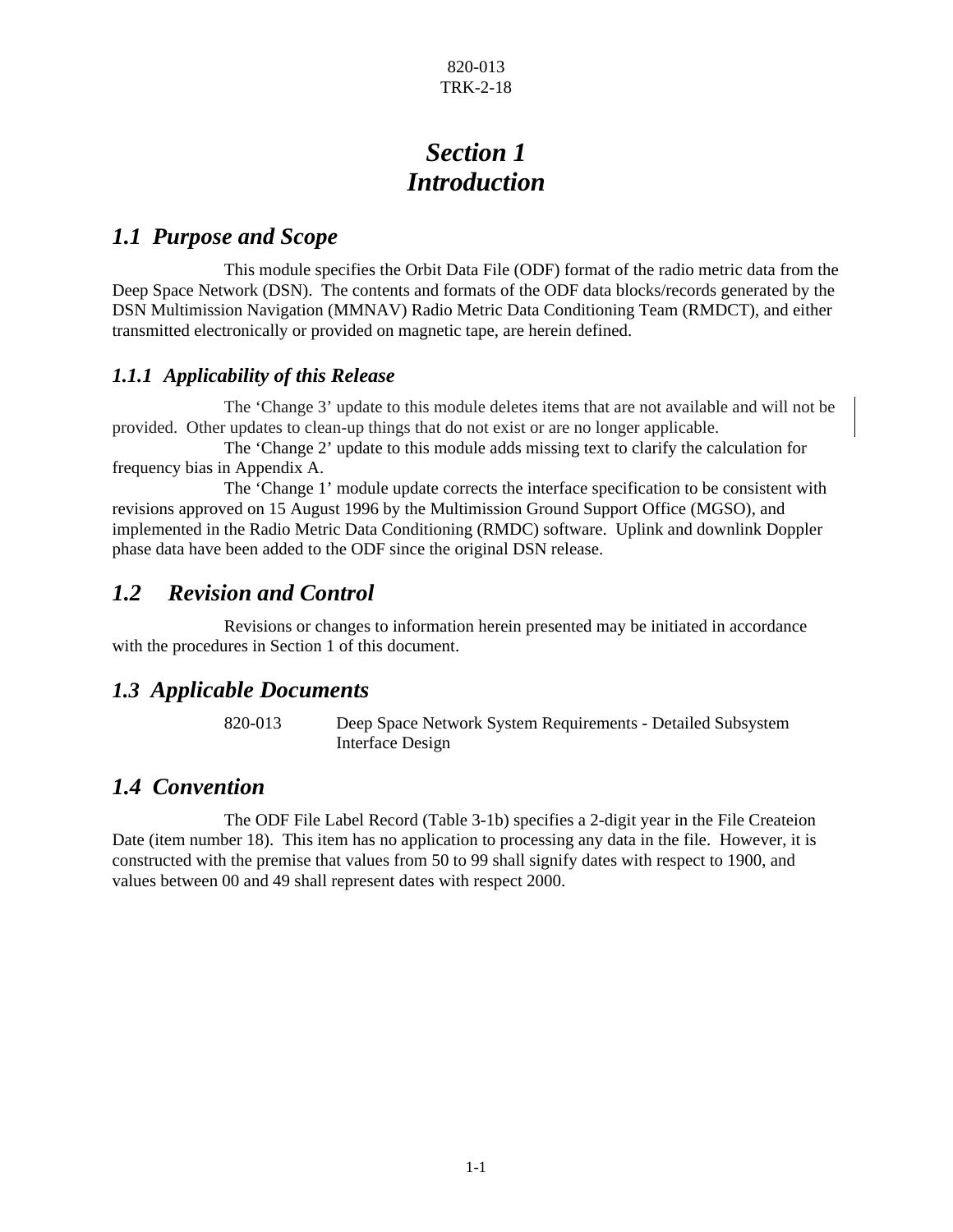# *Section 1 Introduction*

# *1.1 Purpose and Scope*

This module specifies the Orbit Data File (ODF) format of the radio metric data from the Deep Space Network (DSN). The contents and formats of the ODF data blocks/records generated by the DSN Multimission Navigation (MMNAV) Radio Metric Data Conditioning Team (RMDCT), and either transmitted electronically or provided on magnetic tape, are herein defined.

### *1.1.1 Applicability of this Release*

The 'Change 3' update to this module deletes items that are not available and will not be provided. Other updates to clean-up things that do not exist or are no longer applicable.

The 'Change 2' update to this module adds missing text to clarify the calculation for frequency bias in Appendix A.

The 'Change 1' module update corrects the interface specification to be consistent with revisions approved on 15 August 1996 by the Multimission Ground Support Office (MGSO), and implemented in the Radio Metric Data Conditioning (RMDC) software. Uplink and downlink Doppler phase data have been added to the ODF since the original DSN release.

# *1.2 Revision and Control*

Revisions or changes to information herein presented may be initiated in accordance with the procedures in Section 1 of this document.

## *1.3 Applicable Documents*

820-013 Deep Space Network System Requirements - Detailed Subsystem Interface Design

## *1.4 Convention*

The ODF File Label Record (Table 3-1b) specifies a 2-digit year in the File Createion Date (item number 18). This item has no application to processing any data in the file. However, it is constructed with the premise that values from 50 to 99 shall signify dates with respect to 1900, and values between 00 and 49 shall represent dates with respect 2000.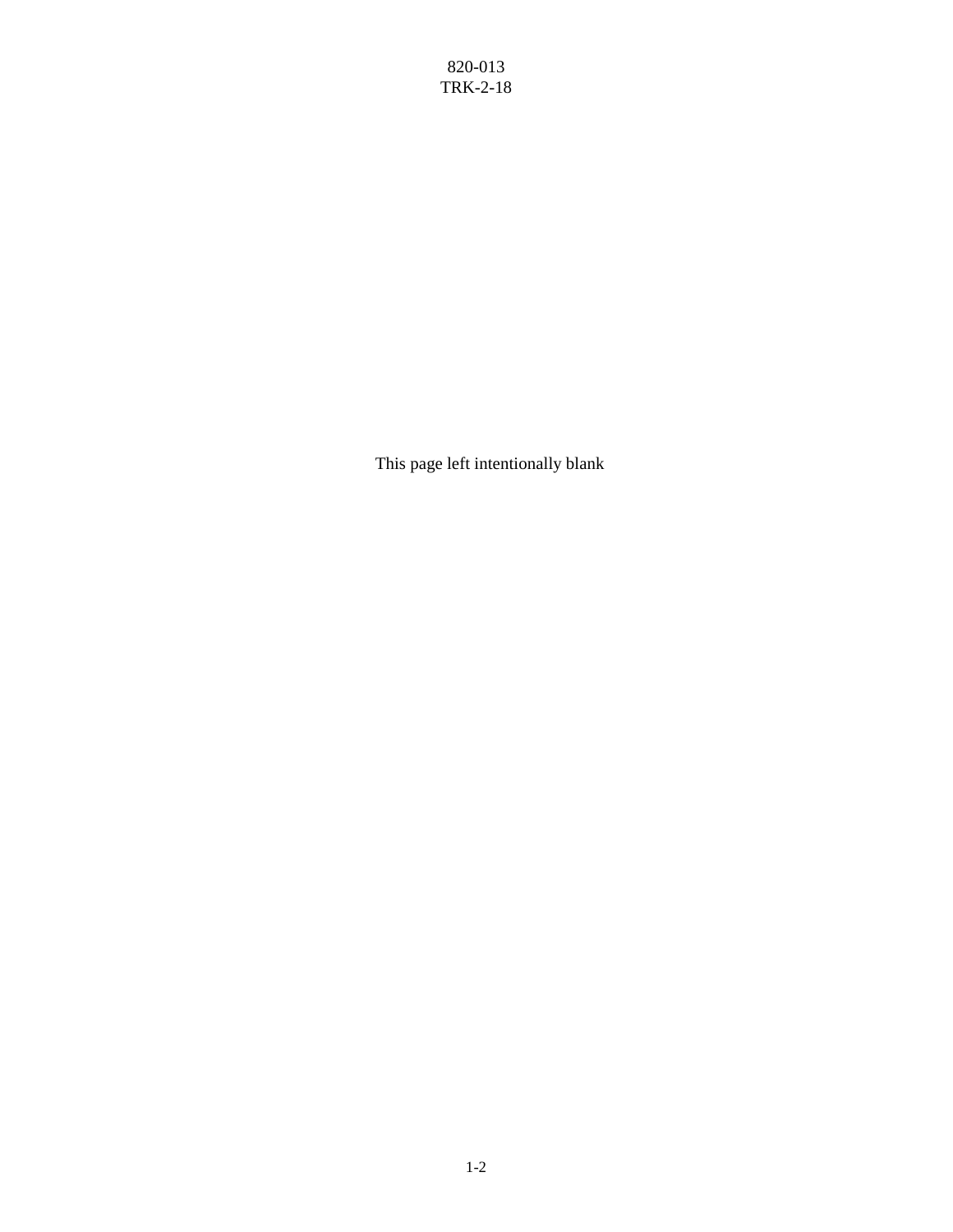This page left intentionally blank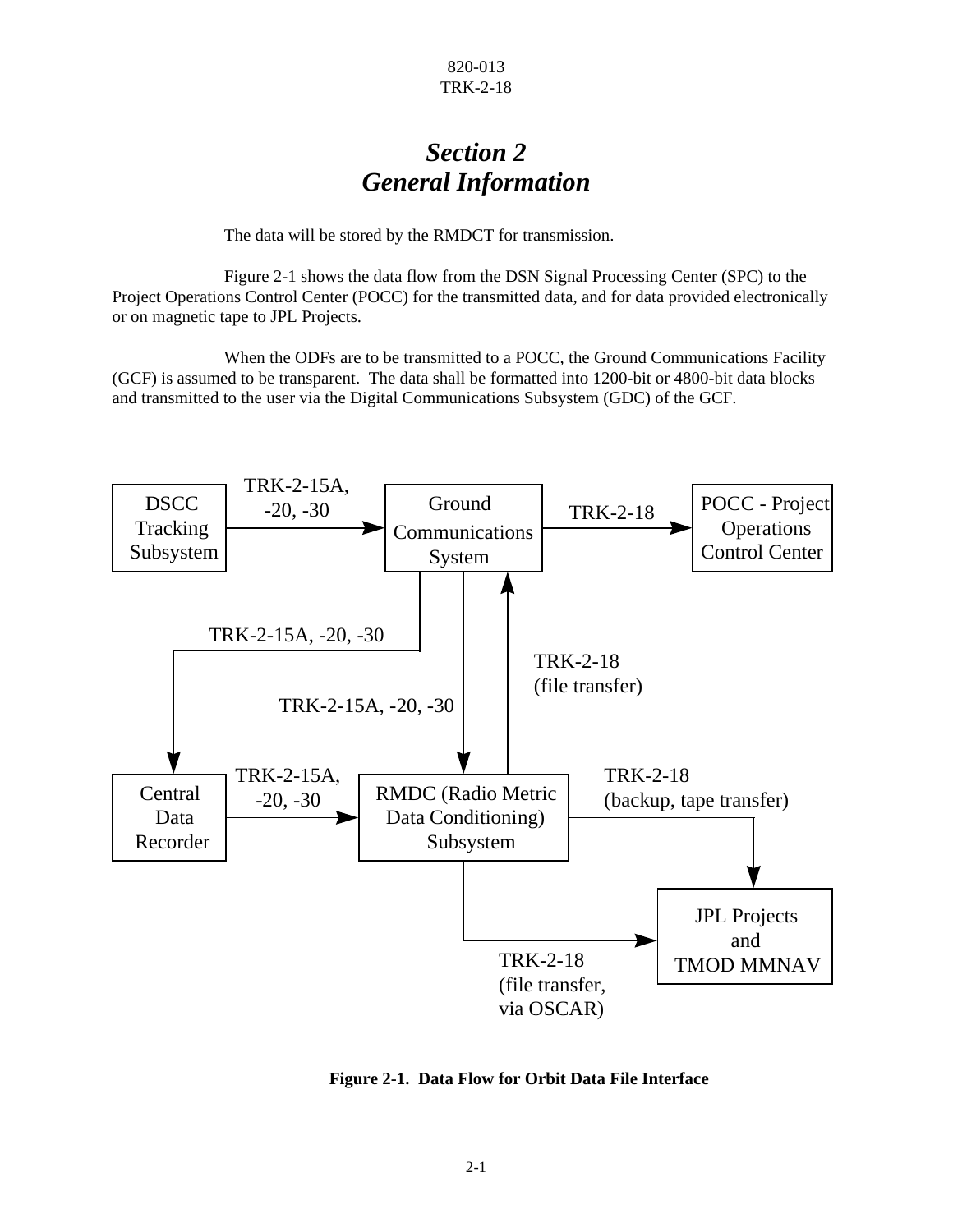# *Section 2 General Information*

The data will be stored by the RMDCT for transmission.

Figure 2-1 shows the data flow from the DSN Signal Processing Center (SPC) to the Project Operations Control Center (POCC) for the transmitted data, and for data provided electronically or on magnetic tape to JPL Projects.

When the ODFs are to be transmitted to a POCC, the Ground Communications Facility (GCF) is assumed to be transparent. The data shall be formatted into 1200-bit or 4800-bit data blocks and transmitted to the user via the Digital Communications Subsystem (GDC) of the GCF.



 **Figure 2-1. Data Flow for Orbit Data File Interface**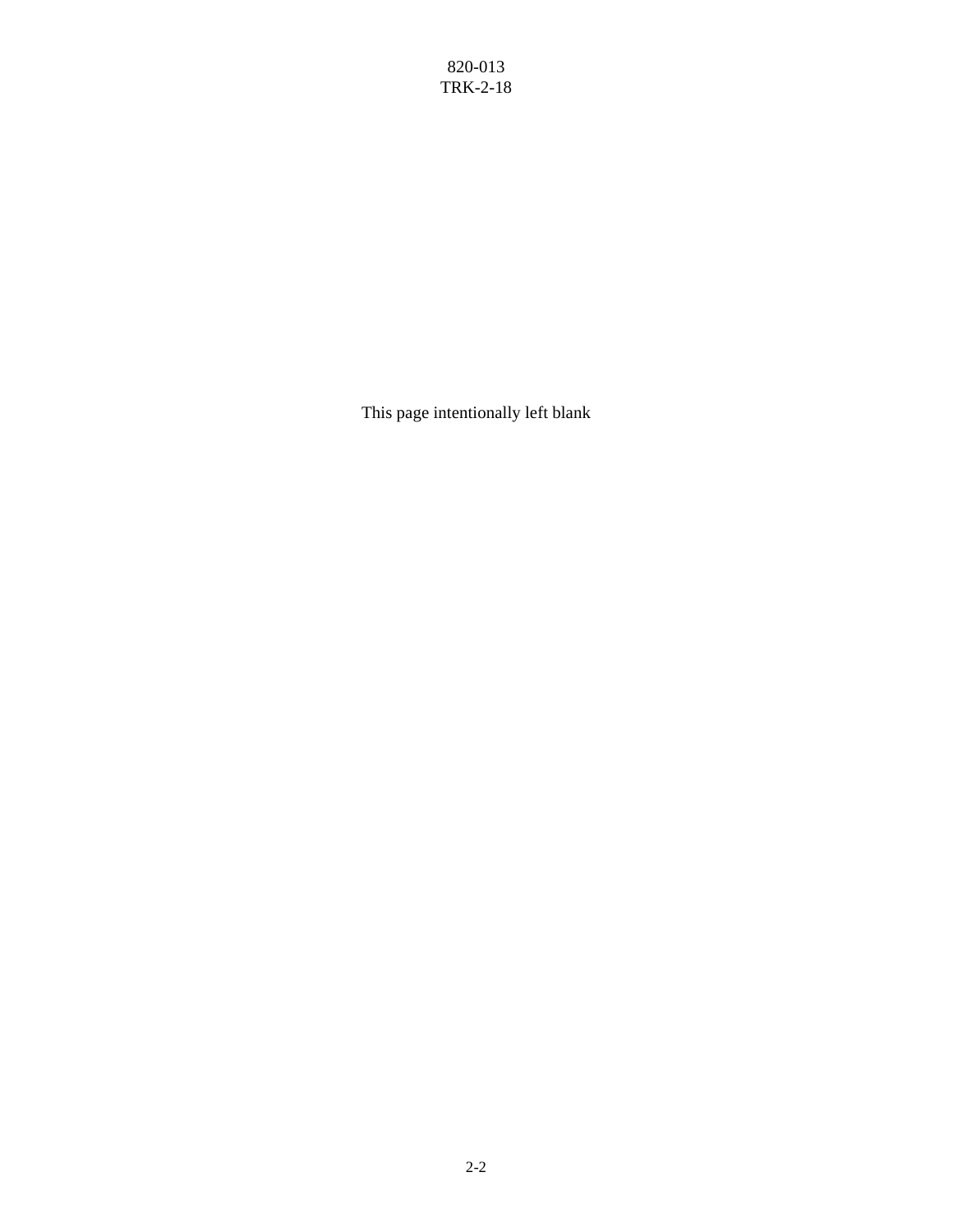This page intentionally left blank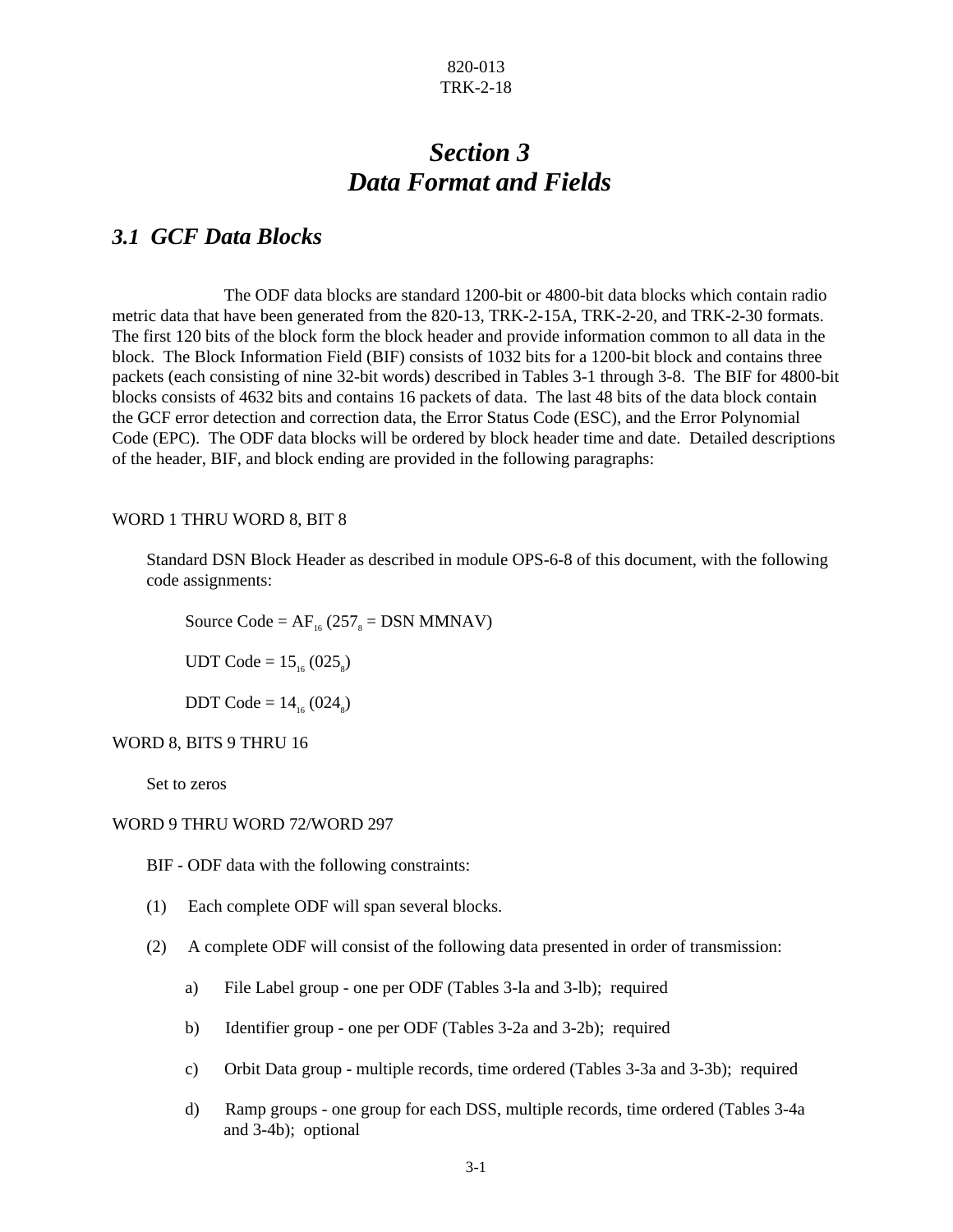# *Section 3 Data Format and Fields*

### *3.1 GCF Data Blocks*

The ODF data blocks are standard 1200-bit or 4800-bit data blocks which contain radio metric data that have been generated from the 820-13, TRK-2-15A, TRK-2-20, and TRK-2-30 formats. The first 120 bits of the block form the block header and provide information common to all data in the block. The Block Information Field (BIF) consists of 1032 bits for a 1200-bit block and contains three packets (each consisting of nine 32-bit words) described in Tables 3-1 through 3-8. The BIF for 4800-bit blocks consists of 4632 bits and contains 16 packets of data. The last 48 bits of the data block contain the GCF error detection and correction data, the Error Status Code (ESC), and the Error Polynomial Code (EPC). The ODF data blocks will be ordered by block header time and date. Detailed descriptions of the header, BIF, and block ending are provided in the following paragraphs:

#### WORD 1 THRU WORD 8, BIT 8

 Standard DSN Block Header as described in module OPS-6-8 of this document, with the following code assignments:

Source Code =  $AF_{16}$  (257<sub>8</sub> = DSN MMNAV)

UDT Code =  $15_{16} (025_8)$ 

DDT Code =  $14_{16} (024_8)$ 

WORD 8, BITS 9 THRU 16

Set to zeros

#### WORD 9 THRU WORD 72/WORD 297

BIF - ODF data with the following constraints:

- (1) Each complete ODF will span several blocks.
- (2) A complete ODF will consist of the following data presented in order of transmission:
	- a) File Label group one per ODF (Tables 3-la and 3-lb); required
	- b) Identifier group one per ODF (Tables 3-2a and 3-2b); required
	- c) Orbit Data group multiple records, time ordered (Tables 3-3a and 3-3b); required
	- d) Ramp groups one group for each DSS, multiple records, time ordered (Tables 3-4a and 3-4b); optional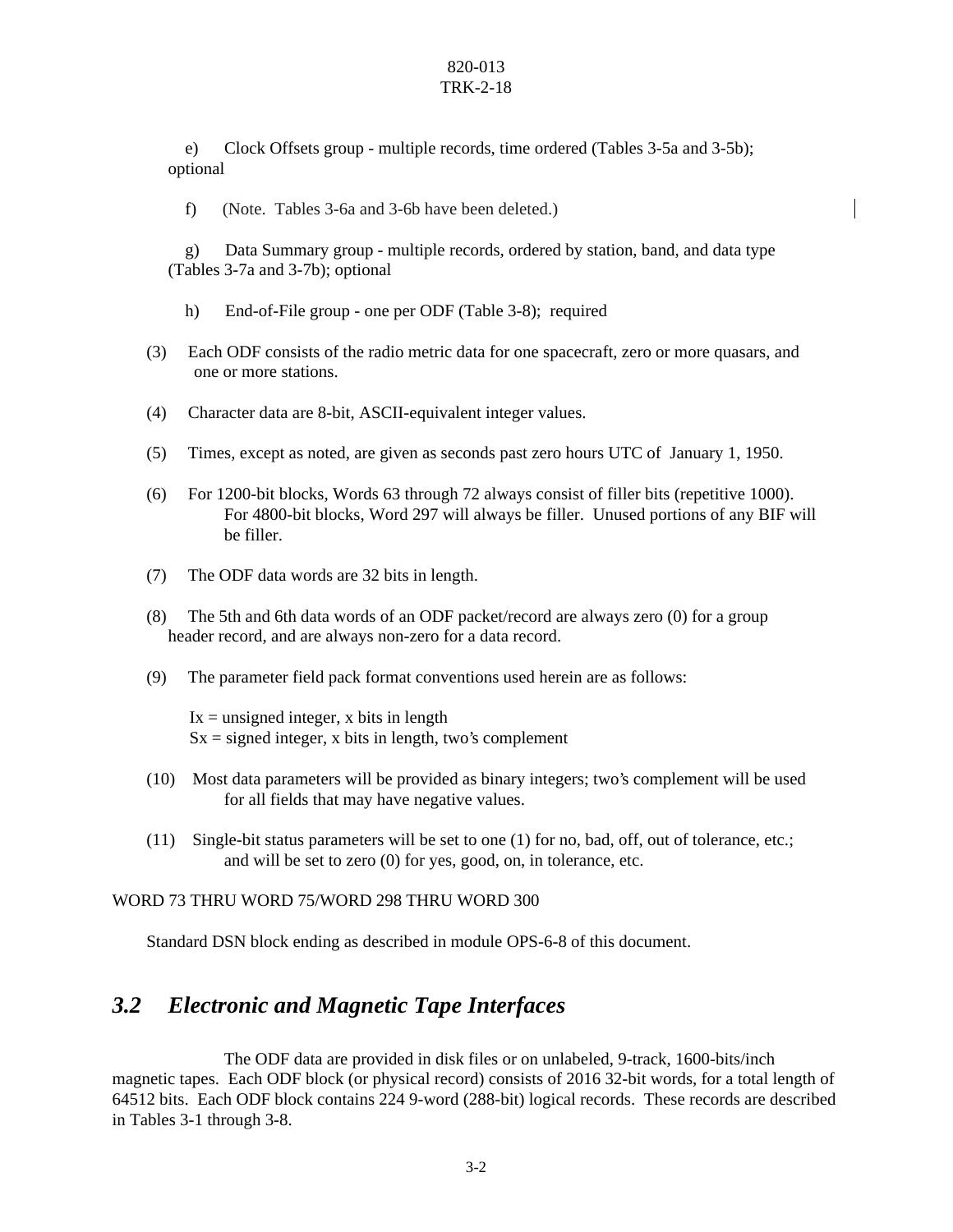e) Clock Offsets group - multiple records, time ordered (Tables 3-5a and 3-5b); optional

f) (Note. Tables 3-6a and 3-6b have been deleted.)

 g) Data Summary group - multiple records, ordered by station, band, and data type (Tables 3-7a and 3-7b); optional

- h) End-of-File group one per ODF (Table 3-8); required
- (3) Each ODF consists of the radio metric data for one spacecraft, zero or more quasars, and one or more stations.
- (4) Character data are 8-bit, ASCII-equivalent integer values.
- (5) Times, except as noted, are given as seconds past zero hours UTC of January 1, 1950.
- (6) For 1200-bit blocks, Words 63 through 72 always consist of filler bits (repetitive 1000). For 4800-bit blocks, Word 297 will always be filler. Unused portions of any BIF will be filler.
- (7) The ODF data words are 32 bits in length.
- (8) The 5th and 6th data words of an ODF packet/record are always zero (0) for a group header record, and are always non-zero for a data record.
- (9) The parameter field pack format conventions used herein are as follows:

 $Ix = unsigned integer, x bits in length$  $Sx = signed integer, x bits in length, two's complement$ 

- (10) Most data parameters will be provided as binary integers; two's complement will be used for all fields that may have negative values.
- (11) Single-bit status parameters will be set to one (1) for no, bad, off, out of tolerance, etc.; and will be set to zero (0) for yes, good, on, in tolerance, etc.

### WORD 73 THRU WORD 75/WORD 298 THRU WORD 300

Standard DSN block ending as described in module OPS-6-8 of this document.

## *3.2 Electronic and Magnetic Tape Interfaces*

The ODF data are provided in disk files or on unlabeled, 9-track, 1600-bits/inch magnetic tapes. Each ODF block (or physical record) consists of 2016 32-bit words, for a total length of 64512 bits. Each ODF block contains 224 9-word (288-bit) logical records. These records are described in Tables 3-1 through 3-8.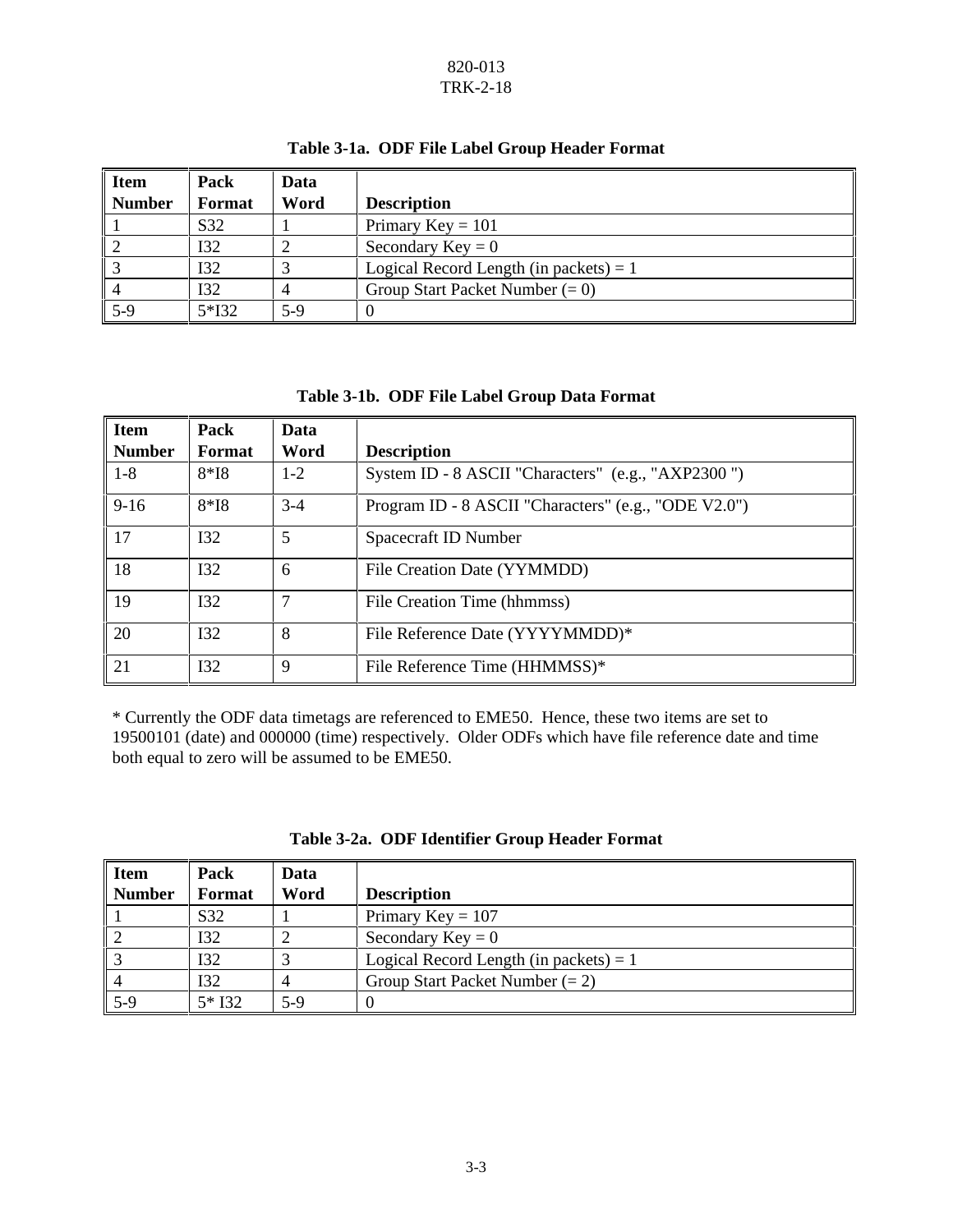| Item          | Pack   | Data  |                                          |  |
|---------------|--------|-------|------------------------------------------|--|
| <b>Number</b> | Format | Word  | <b>Description</b>                       |  |
|               | S32    |       | Primary $Key = 101$                      |  |
|               | I32    |       | Secondary Key = $0$                      |  |
|               | I32    |       | Logical Record Length (in packets) $= 1$ |  |
|               | I32    |       | Group Start Packet Number $(= 0)$        |  |
| $5-9$         | 5*I32  | $5-9$ |                                          |  |

### **Table 3-1a. ODF File Label Group Header Format**

### **Table 3-1b. ODF File Label Group Data Format**

| <b>Item</b>   | Pack       | Data  |                                                      |
|---------------|------------|-------|------------------------------------------------------|
| <b>Number</b> | Format     | Word  | <b>Description</b>                                   |
| $1 - 8$       | $8*18$     | $1-2$ | System ID - 8 ASCII "Characters" (e.g., "AXP2300")   |
| $9-16$        | $8*18$     | $3-4$ | Program ID - 8 ASCII "Characters" (e.g., "ODE V2.0") |
| 17            | <b>I32</b> | 5     | Spacecraft ID Number                                 |
| 18            | <b>I32</b> | 6     | File Creation Date (YYMMDD)                          |
| 19            | I32        | 7     | File Creation Time (hhmmss)                          |
| 20            | I32        | 8     | File Reference Date (YYYYMMDD)*                      |
| 21            | I32        | 9     | File Reference Time (HHMMSS)*                        |

\* Currently the ODF data timetags are referenced to EME50. Hence, these two items are set to 19500101 (date) and 000000 (time) respectively. Older ODFs which have file reference date and time both equal to zero will be assumed to be EME50.

| <b>Item</b>   | Pack   | Data  |                                          |  |
|---------------|--------|-------|------------------------------------------|--|
| <b>Number</b> | Format | Word  | <b>Description</b>                       |  |
|               | S32    |       | Primary Key = $107$                      |  |
|               | I32    |       | Secondary Key = $0$                      |  |
|               | I32    |       | Logical Record Length (in packets) = $1$ |  |
|               | I32    |       | Group Start Packet Number $(= 2)$        |  |
| $5-9$         | 5* I32 | $5-9$ |                                          |  |

| Table 3-2a. ODF Identifier Group Header Format |  |  |  |
|------------------------------------------------|--|--|--|
|                                                |  |  |  |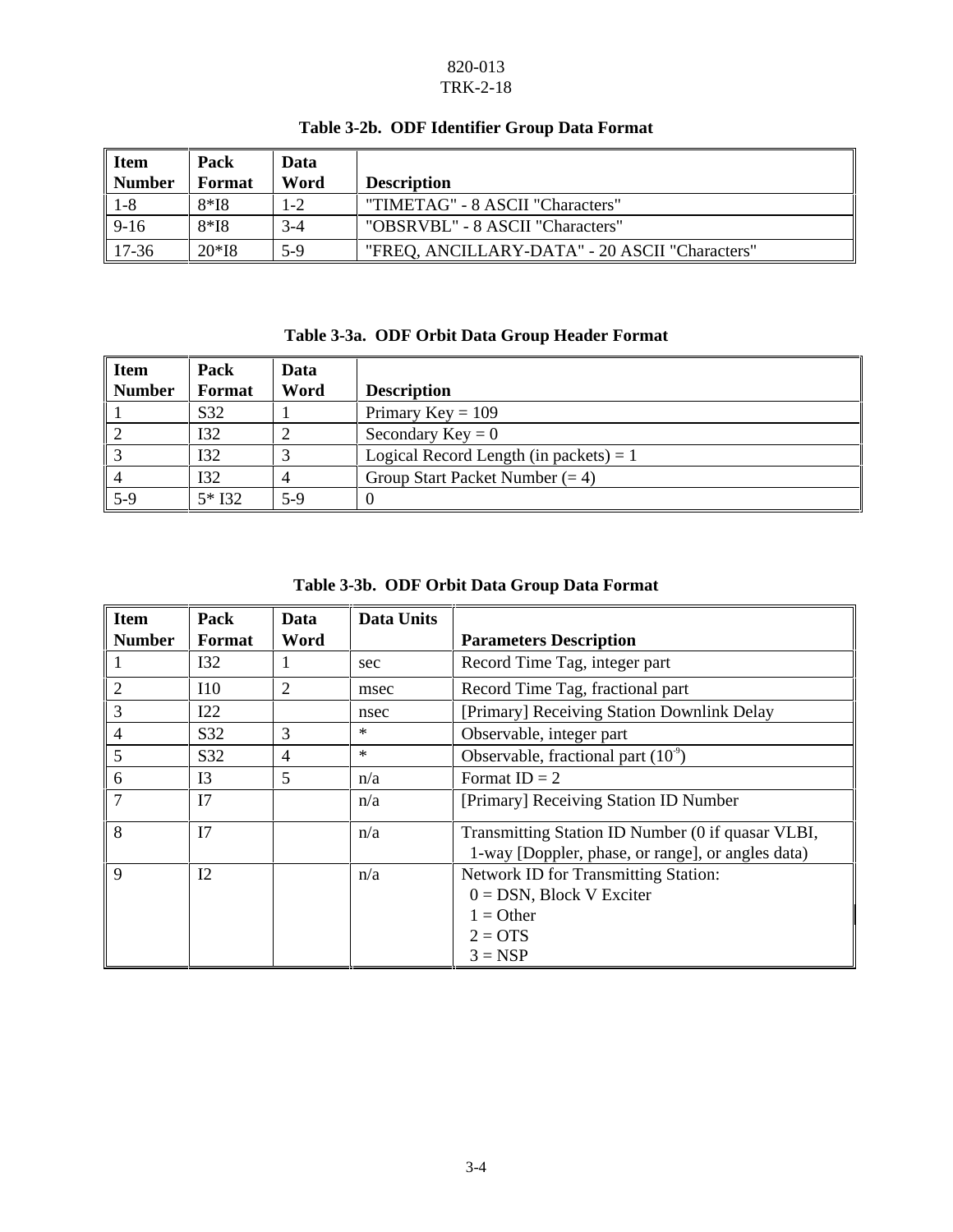| <b>Item</b> | Pack    | Data    |                                                |
|-------------|---------|---------|------------------------------------------------|
| Number      | Format  | Word    | <b>Description</b>                             |
| $1 - 8$     | $8*18$  | $1 - 2$ | "TIMETAG" - 8 ASCII "Characters"               |
| $9-16$      | $8*18$  | $3-4$   | "OBSRVBL" - 8 ASCII "Characters"               |
| $17-36$     | $20*18$ | $5-9$   | "FREQ, ANCILLARY-DATA" - 20 ASCII "Characters" |

### **Table 3-2b. ODF Identifier Group Data Format**

## **Table 3-3a. ODF Orbit Data Group Header Format**

| <b>Item</b>   | Pack       | Data  |                                          |
|---------------|------------|-------|------------------------------------------|
| <b>Number</b> | Format     | Word  | <b>Description</b>                       |
|               | S32        |       | Primary Key = $109$                      |
|               | I32        |       | Secondary Key = $0$                      |
|               | I32        |       | Logical Record Length (in packets) $= 1$ |
|               | <b>I32</b> |       | Group Start Packet Number $(= 4)$        |
| 5-9           | $5*132$    | $5-9$ |                                          |

### **Table 3-3b. ODF Orbit Data Group Data Format**

| <b>Item</b>    | Pack   | Data           | Data Units |                                                                                                        |
|----------------|--------|----------------|------------|--------------------------------------------------------------------------------------------------------|
| <b>Number</b>  | Format | Word           |            | <b>Parameters Description</b>                                                                          |
|                | I32    | 1              | sec        | Record Time Tag, integer part                                                                          |
| $\overline{2}$ | 110    | $\overline{2}$ | msec       | Record Time Tag, fractional part                                                                       |
| 3              | I22    |                | nsec       | [Primary] Receiving Station Downlink Delay                                                             |
| 4              | S32    | 3              | $\ast$     | Observable, integer part                                                                               |
| 5              | S32    | $\overline{4}$ | $\ast$     | Observable, fractional part $(10^9)$                                                                   |
| 6              | I3     | 5              | n/a        | Format $ID = 2$                                                                                        |
| $\overline{7}$ | I7     |                | n/a        | [Primary] Receiving Station ID Number                                                                  |
| 8              | I7     |                | n/a        | Transmitting Station ID Number (0 if quasar VLBI,<br>1-way [Doppler, phase, or range], or angles data) |
| 9              | I2     |                | n/a        | <b>Network ID for Transmitting Station:</b><br>$0 =$ DSN, Block V Exciter                              |
|                |        |                |            | $1 =$ Other                                                                                            |
|                |        |                |            | $2 = OTS$                                                                                              |
|                |        |                |            | $3 = NSP$                                                                                              |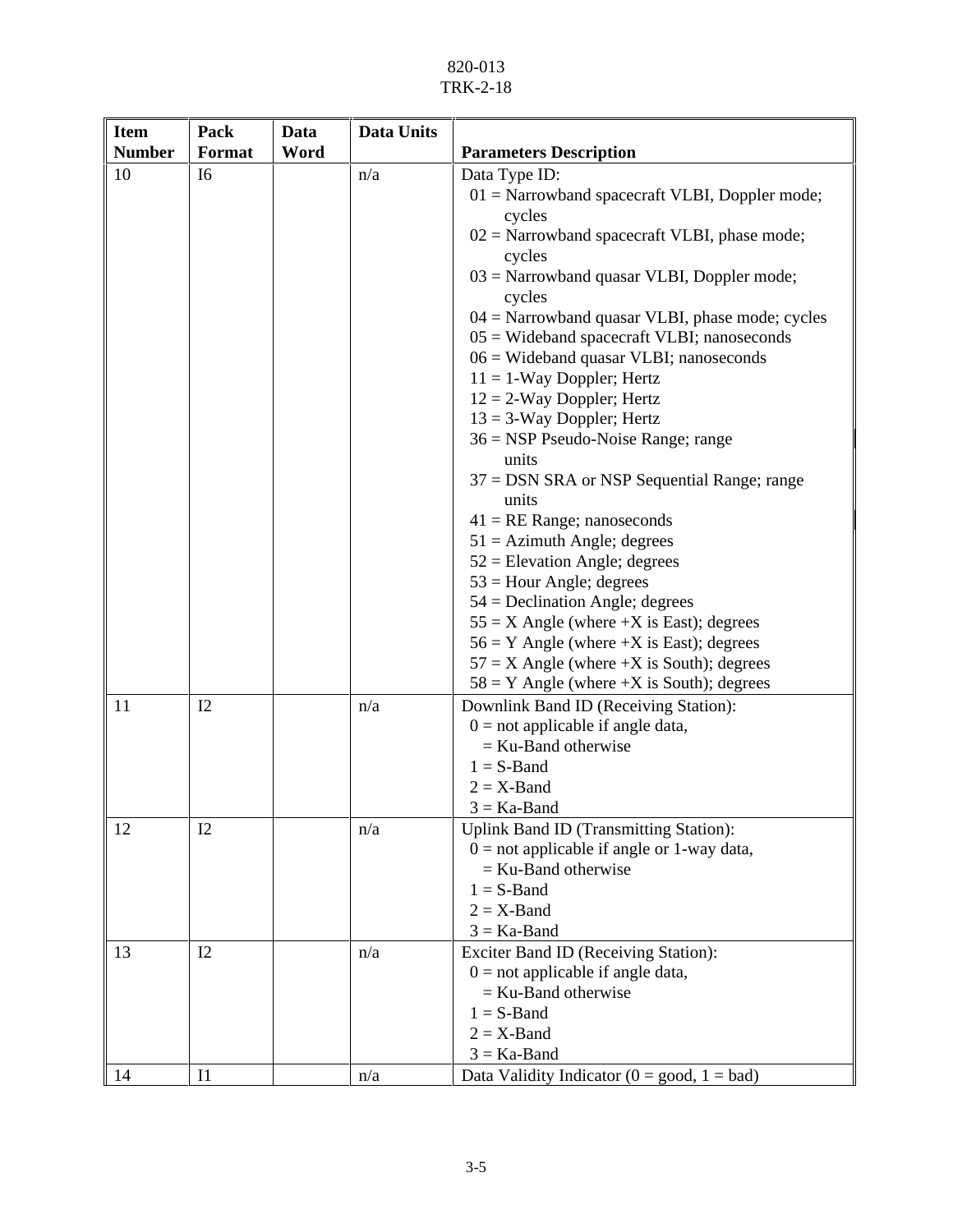820-013 TRK-2-18

| <b>Item</b>   | Pack           | Data | <b>Data Units</b> |                                                                  |
|---------------|----------------|------|-------------------|------------------------------------------------------------------|
| <b>Number</b> | Format         | Word |                   | <b>Parameters Description</b>                                    |
| 10            | I <sub>6</sub> |      | n/a               | Data Type ID:                                                    |
|               |                |      |                   | $01$ = Narrowband spacecraft VLBI, Doppler mode;                 |
|               |                |      |                   | cycles                                                           |
|               |                |      |                   | $02$ = Narrowband spacecraft VLBI, phase mode;                   |
|               |                |      |                   | cycles                                                           |
|               |                |      |                   | $03$ = Narrowband quasar VLBI, Doppler mode;                     |
|               |                |      |                   | cycles                                                           |
|               |                |      |                   | 04 = Narrowband quasar VLBI, phase mode; cycles                  |
|               |                |      |                   | $05$ = Wideband spacecraft VLBI; nanoseconds                     |
|               |                |      |                   | $06 =$ Wideband quasar VLBI; nanoseconds                         |
|               |                |      |                   | $11 = 1$ -Way Doppler; Hertz                                     |
|               |                |      |                   | $12 = 2$ -Way Doppler; Hertz                                     |
|               |                |      |                   | $13 = 3$ -Way Doppler; Hertz                                     |
|               |                |      |                   | $36 = NSP$ Pseudo-Noise Range; range                             |
|               |                |      |                   | units                                                            |
|               |                |      |                   | $37 =$ DSN SRA or NSP Sequential Range; range                    |
|               |                |      |                   | units                                                            |
|               |                |      |                   | $41$ = RE Range; nanoseconds                                     |
|               |                |      |                   | $51 =$ Azimuth Angle; degrees                                    |
|               |                |      |                   | $52$ = Elevation Angle; degrees                                  |
|               |                |      |                   | $53$ = Hour Angle; degrees                                       |
|               |                |      |                   | $54 =$ Declination Angle; degrees                                |
|               |                |      |                   | $55 = X$ Angle (where +X is East); degrees                       |
|               |                |      |                   | $56 = Y$ Angle (where +X is East); degrees                       |
|               |                |      |                   | $57 = X$ Angle (where +X is South); degrees                      |
|               |                |      |                   | $58 = Y$ Angle (where +X is South); degrees                      |
| 11            | I2             |      | n/a               | Downlink Band ID (Receiving Station):                            |
|               |                |      |                   | $0 =$ not applicable if angle data,                              |
|               |                |      |                   | $=$ Ku-Band otherwise                                            |
|               |                |      |                   | $1 = S-Band$                                                     |
|               |                |      |                   | $2 = X-B$ and                                                    |
|               |                |      |                   | $3 = Ka-Band$                                                    |
| 12            | I2             |      | n/a               | <b>Uplink Band ID (Transmitting Station):</b>                    |
|               |                |      |                   | $0 =$ not applicable if angle or 1-way data,                     |
|               |                |      |                   | $=$ Ku-Band otherwise                                            |
|               |                |      |                   | $1 = S-Band$                                                     |
|               |                |      |                   | $2 = X-B$ and                                                    |
|               |                |      |                   | $3 = Ka-Band$                                                    |
| 13            | I2             |      | n/a               | Exciter Band ID (Receiving Station):                             |
|               |                |      |                   | $0 =$ not applicable if angle data,                              |
|               |                |      |                   | $=$ Ku-Band otherwise                                            |
|               |                |      |                   | $1 = S-Band$                                                     |
|               |                |      |                   | $2 = X-B$ and                                                    |
|               |                |      |                   | $3 = Ka-Band$                                                    |
| 14            | I <sub>1</sub> |      | n/a               | Data Validity Indicator ( $0 = \text{good}$ , $1 = \text{bad}$ ) |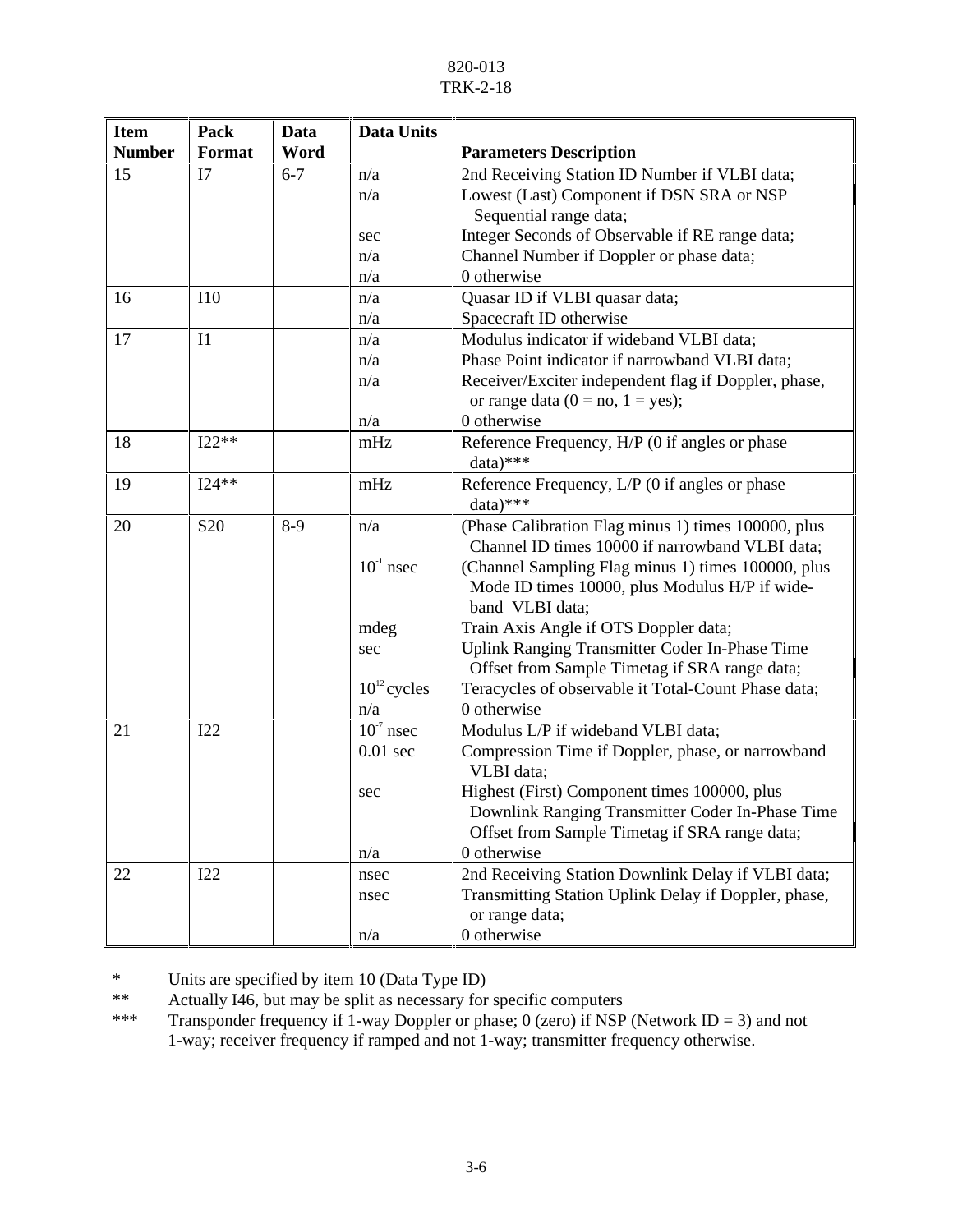820-013 TRK-2-18

| <b>Item</b>   | Pack            | Data    | <b>Data Units</b> |                                                                                                   |
|---------------|-----------------|---------|-------------------|---------------------------------------------------------------------------------------------------|
| <b>Number</b> | Format          | Word    |                   | <b>Parameters Description</b>                                                                     |
| 15            | I7              | $6 - 7$ | n/a               | 2nd Receiving Station ID Number if VLBI data;                                                     |
|               |                 |         | n/a               | Lowest (Last) Component if DSN SRA or NSP                                                         |
|               |                 |         |                   | Sequential range data;                                                                            |
|               |                 |         | sec               | Integer Seconds of Observable if RE range data;                                                   |
|               |                 |         | n/a               | Channel Number if Doppler or phase data;                                                          |
|               |                 |         | n/a               | 0 otherwise                                                                                       |
| 16            | <b>I10</b>      |         | n/a               | Quasar ID if VLBI quasar data;                                                                    |
|               |                 |         | n/a               | Spacecraft ID otherwise                                                                           |
| 17            | I <sub>1</sub>  |         | n/a               | Modulus indicator if wideband VLBI data;                                                          |
|               |                 |         | n/a               | Phase Point indicator if narrowband VLBI data;                                                    |
|               |                 |         | n/a               | Receiver/Exciter independent flag if Doppler, phase,                                              |
|               |                 |         |                   | or range data ( $0 = no$ , $1 = yes$ );                                                           |
|               |                 |         | n/a               | 0 otherwise                                                                                       |
| 18            | $I22**$         |         | mHz               | Reference Frequency, H/P (0 if angles or phase                                                    |
|               |                 |         |                   | data)***                                                                                          |
| 19            | $I24**$         |         | mHz               | Reference Frequency, L/P (0 if angles or phase                                                    |
|               |                 |         |                   | data)***                                                                                          |
| 20            | S <sub>20</sub> | $8-9$   | n/a               | (Phase Calibration Flag minus 1) times 100000, plus                                               |
|               |                 |         |                   | Channel ID times 10000 if narrowband VLBI data;                                                   |
|               |                 |         | $10-1$ nsec       | (Channel Sampling Flag minus 1) times 100000, plus                                                |
|               |                 |         |                   | Mode ID times 10000, plus Modulus H/P if wide-                                                    |
|               |                 |         |                   | band VLBI data;                                                                                   |
|               |                 |         | mdeg              | Train Axis Angle if OTS Doppler data;                                                             |
|               |                 |         | sec               | Uplink Ranging Transmitter Coder In-Phase Time                                                    |
|               |                 |         |                   | Offset from Sample Timetag if SRA range data;                                                     |
|               |                 |         | $10^{12}$ cycles  | Teracycles of observable it Total-Count Phase data;                                               |
|               |                 |         | n/a               | 0 otherwise                                                                                       |
| 21            | I22             |         | $10-7$ nsec       | Modulus L/P if wideband VLBI data;                                                                |
|               |                 |         | $0.01$ sec        | Compression Time if Doppler, phase, or narrowband                                                 |
|               |                 |         |                   | VLBI data;                                                                                        |
|               |                 |         | sec               | Highest (First) Component times 100000, plus                                                      |
|               |                 |         |                   | Downlink Ranging Transmitter Coder In-Phase Time<br>Offset from Sample Timetag if SRA range data; |
|               |                 |         |                   | 0 otherwise                                                                                       |
| 22            | I22             |         | n/a               | 2nd Receiving Station Downlink Delay if VLBI data;                                                |
|               |                 |         | nsec<br>nsec      | Transmitting Station Uplink Delay if Doppler, phase,                                              |
|               |                 |         |                   | or range data;                                                                                    |
|               |                 |         | n/a               | 0 otherwise                                                                                       |
|               |                 |         |                   |                                                                                                   |

\* Units are specified by item 10 (Data Type ID)<br>\*\*  $\Delta$  ctually 146 but may be split as necessary for

\*\* Actually I46, but may be split as necessary for specific computers<br>\*\*\* Transponder frequency if 1-way Doppler or phase: 0 (zero) if NSP

Transponder frequency if 1-way Doppler or phase; 0 (zero) if NSP (Network ID = 3) and not 1-way; receiver frequency if ramped and not 1-way; transmitter frequency otherwise.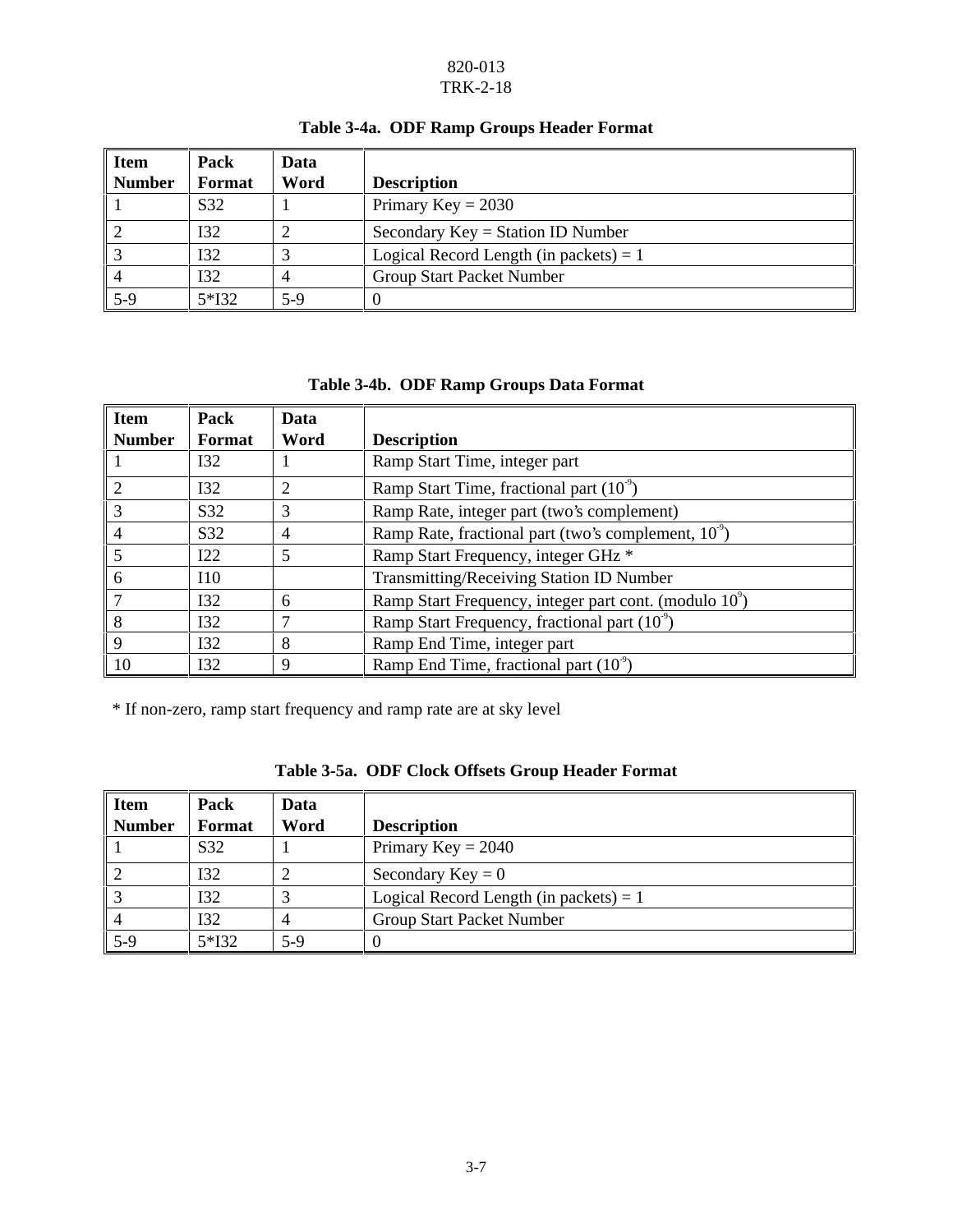| <b>Item</b>   | Pack   | Data  |                                          |
|---------------|--------|-------|------------------------------------------|
| <b>Number</b> | Format | Word  | <b>Description</b>                       |
|               | S32    |       | Primary Key = $2030$                     |
|               | I32    |       | Secondary $Key = Station ID Number$      |
|               | I32    |       | Logical Record Length (in packets) $= 1$ |
|               | I32    |       | <b>Group Start Packet Number</b>         |
| $5-9$         | 5*I32  | $5-9$ |                                          |

### **Table 3-4a. ODF Ramp Groups Header Format**

### **Table 3-4b. ODF Ramp Groups Data Format**

| <b>Item</b>   | Pack       | Data |                                                                    |
|---------------|------------|------|--------------------------------------------------------------------|
| <b>Number</b> | Format     | Word | <b>Description</b>                                                 |
|               | I32        |      | Ramp Start Time, integer part                                      |
| 2             | I32        | 2    | Ramp Start Time, fractional part $(10^9)$                          |
| 3             | S32        | 3    | Ramp Rate, integer part (two's complement)                         |
| 4             | S32        | 4    | Ramp Rate, fractional part (two's complement, $10^9$ )             |
|               | I22        | 5    | Ramp Start Frequency, integer GHz *                                |
| 6             | <b>I10</b> |      | Transmitting/Receiving Station ID Number                           |
|               | I32        | 6    | Ramp Start Frequency, integer part cont. (modulo 10 <sup>°</sup> ) |
| 8             | I32        |      | Ramp Start Frequency, fractional part (10 <sup>°</sup> )           |
| 9             | I32        | 8    | Ramp End Time, integer part                                        |
| 10            | I32        | 9    | Ramp End Time, fractional part $(10^9)$                            |

\* If non-zero, ramp start frequency and ramp rate are at sky level

|  | Table 3-5a. ODF Clock Offsets Group Header Format |  |  |  |  |  |  |
|--|---------------------------------------------------|--|--|--|--|--|--|
|--|---------------------------------------------------|--|--|--|--|--|--|

| Item          | Pack   | Data  |                                          |
|---------------|--------|-------|------------------------------------------|
| <b>Number</b> | Format | Word  | <b>Description</b>                       |
|               | S32    |       | Primary Key = $2040$                     |
|               | I32    |       | Secondary Key $= 0$                      |
|               | I32    |       | Logical Record Length (in packets) $= 1$ |
|               | I32    |       | <b>Group Start Packet Number</b>         |
| $5-9$         | 5*I32  | $5-9$ |                                          |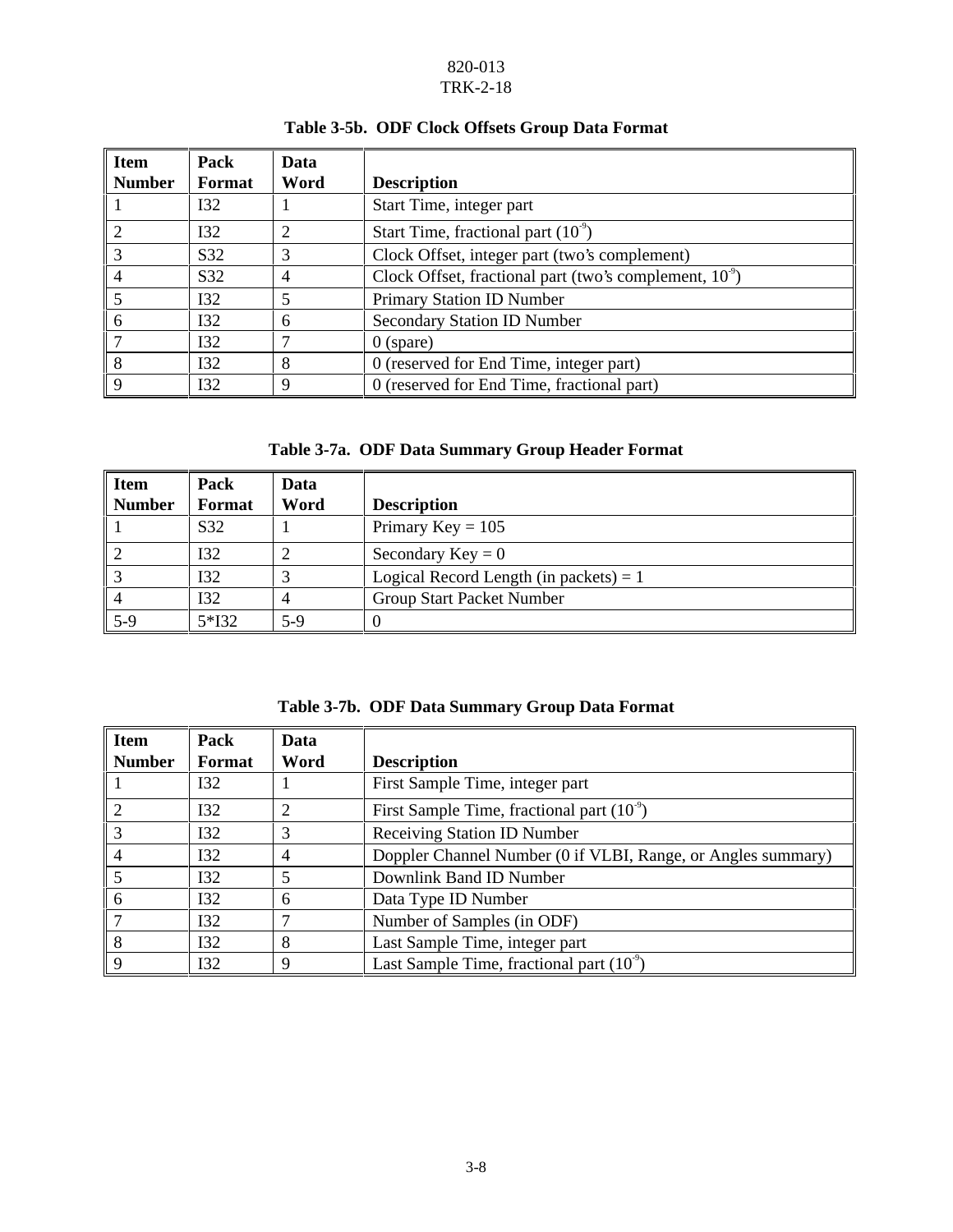| <b>Item</b>   | Pack       | Data |                                                           |
|---------------|------------|------|-----------------------------------------------------------|
| <b>Number</b> | Format     | Word | <b>Description</b>                                        |
|               | I32        |      | Start Time, integer part                                  |
| 2             | I32        | 2    | Start Time, fractional part $(10^{\degree})$              |
| 3             | S32        | 3    | Clock Offset, integer part (two's complement)             |
| 4             | S32        | 4    | Clock Offset, fractional part (two's complement, $10^9$ ) |
|               | I32        | 5    | Primary Station ID Number                                 |
| 6             | I32        | 6    | <b>Secondary Station ID Number</b>                        |
|               | I32        |      | $0$ (spare)                                               |
| 8             | I32        | 8    | 0 (reserved for End Time, integer part)                   |
| Q             | <b>I32</b> | 9    | 0 (reserved for End Time, fractional part)                |

### **Table 3-5b. ODF Clock Offsets Group Data Format**

**Table 3-7a. ODF Data Summary Group Header Format**

| <b>Item</b>   | Pack   | Data  |                                          |
|---------------|--------|-------|------------------------------------------|
| <b>Number</b> | Format | Word  | <b>Description</b>                       |
|               | S32    |       | Primary Key = $105$                      |
|               | I32    |       | Secondary $Key = 0$                      |
|               | I32    |       | Logical Record Length (in packets) $= 1$ |
|               | I32    |       | <b>Group Start Packet Number</b>         |
| $5-9$         | 5*I32  | $5-9$ |                                          |

| <b>Item</b>   | Pack   | Data |                                                              |
|---------------|--------|------|--------------------------------------------------------------|
| <b>Number</b> | Format | Word | <b>Description</b>                                           |
|               | I32    |      | First Sample Time, integer part                              |
| 2             | I32    |      | First Sample Time, fractional part $(10^9)$                  |
| 3             | I32    | 3    | <b>Receiving Station ID Number</b>                           |
| 4             | I32    | 4    | Doppler Channel Number (0 if VLBI, Range, or Angles summary) |
|               | I32    | 5    | Downlink Band ID Number                                      |
| 6             | I32    | 6    | Data Type ID Number                                          |
|               | I32    |      | Number of Samples (in ODF)                                   |
| 8             | I32    | 8    | Last Sample Time, integer part                               |
| a             | I32    | Q    | Last Sample Time, fractional part $(10^9)$                   |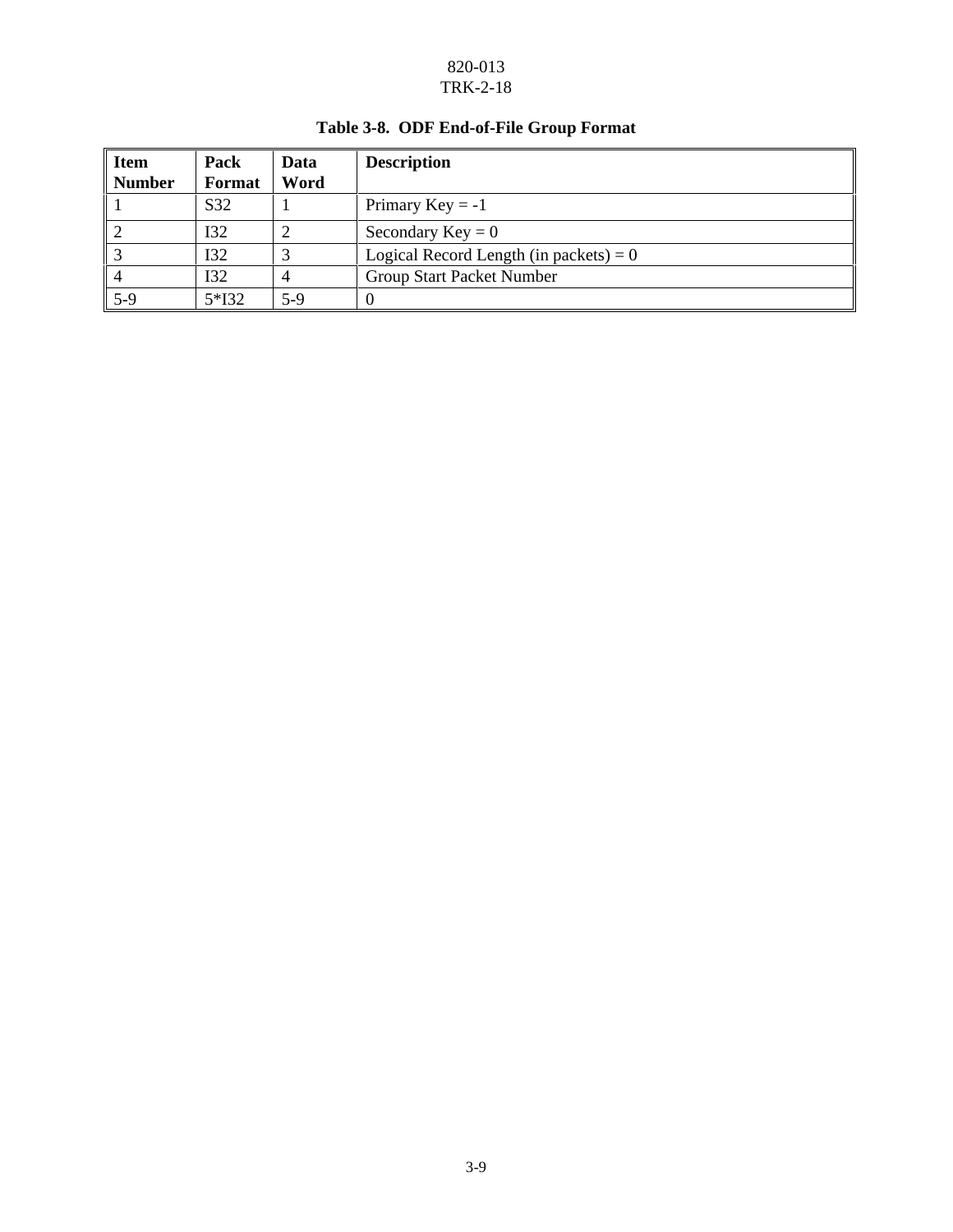| <b>Item</b><br><b>Number</b> | Pack<br>Format | Data<br>Word   | <b>Description</b>                       |
|------------------------------|----------------|----------------|------------------------------------------|
|                              |                |                |                                          |
|                              | S32            |                | Primary $Key = -1$                       |
|                              | I32            | ി              | Secondary Key = $0$                      |
|                              | I32            |                | Logical Record Length (in packets) = $0$ |
|                              | I32            | $\overline{4}$ | Group Start Packet Number                |
| $5-9$                        | 5*I32          | $5-9$          |                                          |

### **Table 3-8. ODF End-of-File Group Format**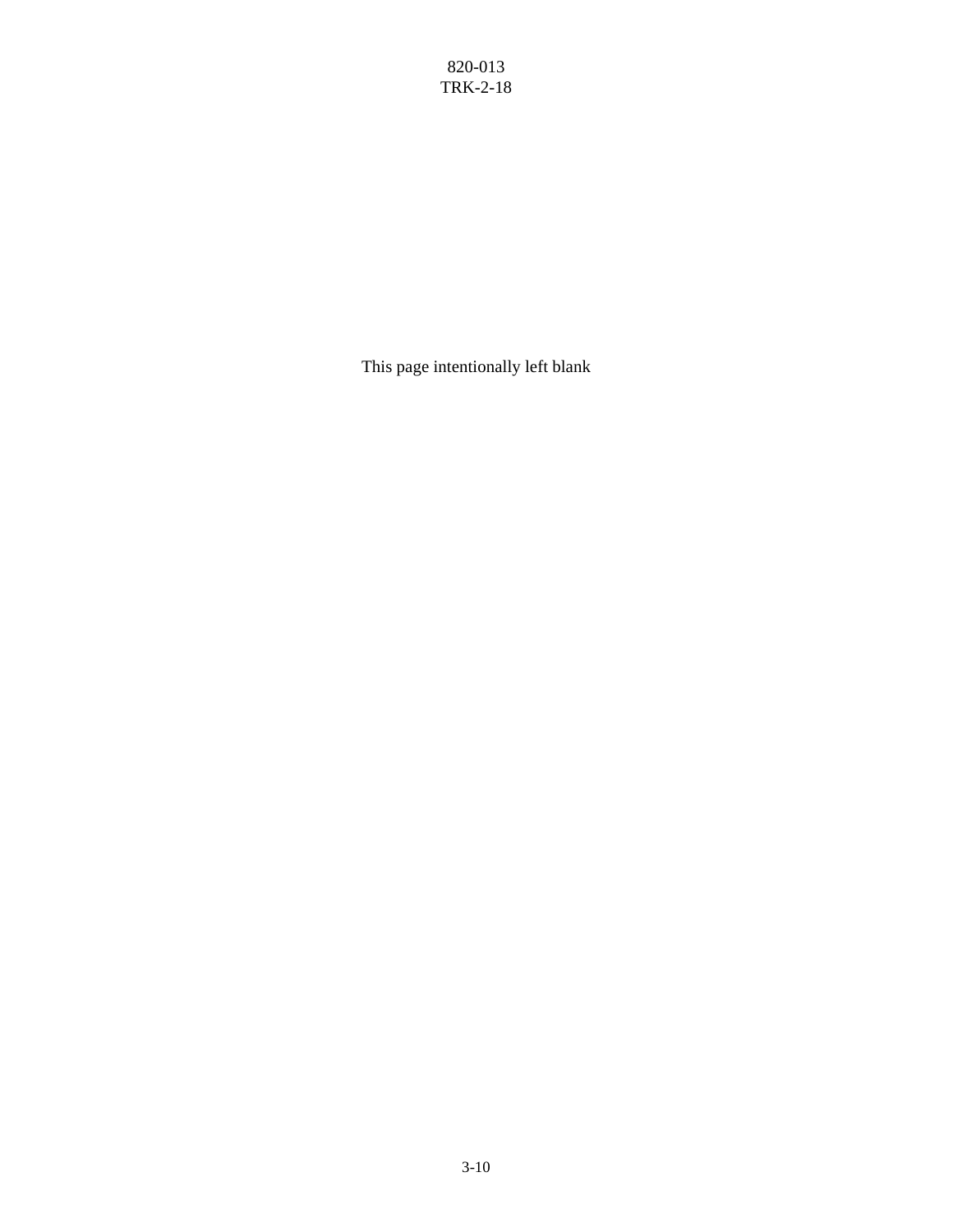This page intentionally left blank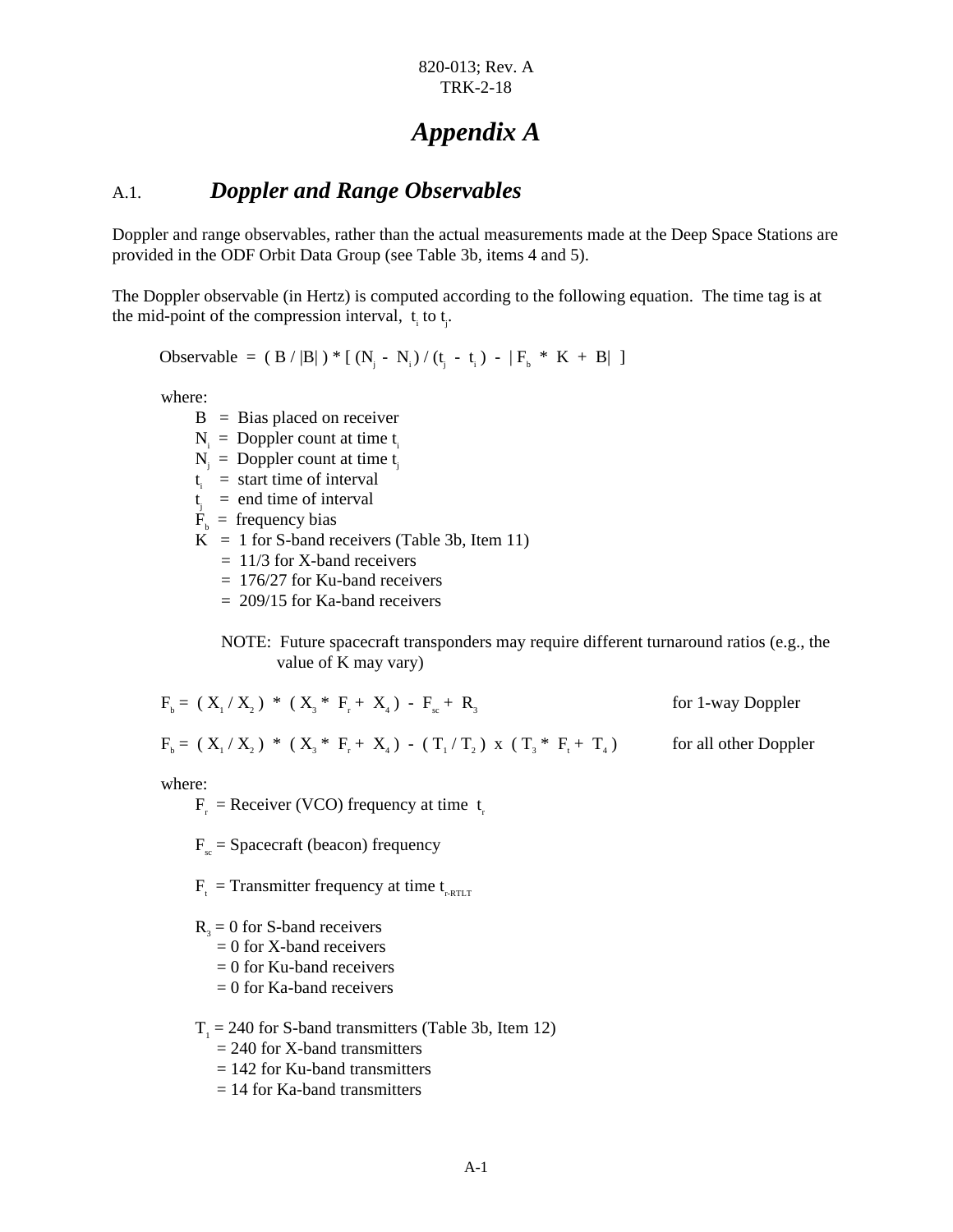# *Appendix A*

# A.1. *Doppler and Range Observables*

Doppler and range observables, rather than the actual measurements made at the Deep Space Stations are provided in the ODF Orbit Data Group (see Table 3b, items 4 and 5).

The Doppler observable (in Hertz) is computed according to the following equation. The time tag is at the mid-point of the compression interval,  $t_i$  to  $t_j$ .

Observable =  $(B / |B|) * [(N_i - N_i) / (t_i - t_i) - |F_b * K + B| ]$ 

where:

- $B = Bias$  placed on receiver
- $N_i$  = Doppler count at time  $t_i$
- $N_i$  = Doppler count at time  $t_i$
- $t_i$  = start time of interval
- $t_i$  = end time of interval
- $F_b$  = frequency bias
	- $K = 1$  for S-band receivers (Table 3b, Item 11)
		- = 11/3 for X-band receivers
		- = 176/27 for Ku-band receivers
		- $= 209/15$  for Ka-band receivers

 NOTE: Future spacecraft transponders may require different turnaround ratios (e.g., the value of K may vary)

$$
F_b = (X_1/X_2) * (X_3 * F_r + X_4) - F_{sc} + R_3
$$
 for 1-way Doppler  

$$
F_b = (X_1/X_2) * (X_3 * F_r + X_4) - (T_1/T_2) x (T_3 * F_t + T_4)
$$
 for all other Doppler

where:

 $F_r$  = Receiver (VCO) frequency at time  $t_r$ 

 $F_s$  = Spacecraft (beacon) frequency

- $F_t$  = Transmitter frequency at time  $t_{r-RTLT}$
- $R_3 = 0$  for S-band receivers
	- $= 0$  for X-band receivers
	- $= 0$  for Ku-band receivers
	- $= 0$  for Ka-band receivers
- $T_1 = 240$  for S-band transmitters (Table 3b, Item 12)
	- = 240 for X-band transmitters
	- $= 142$  for Ku-band transmitters
	- $= 14$  for Ka-band transmitters